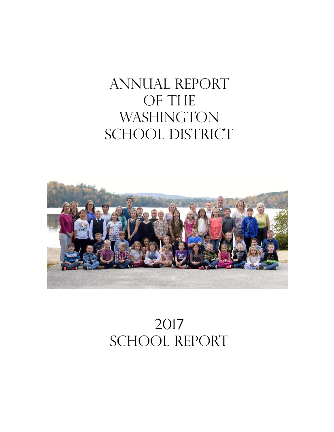# ANNUAL REPORT OF THE **WASHINGTON** SCHOOL DISTRICT



# 2017 SCHOOL REPORT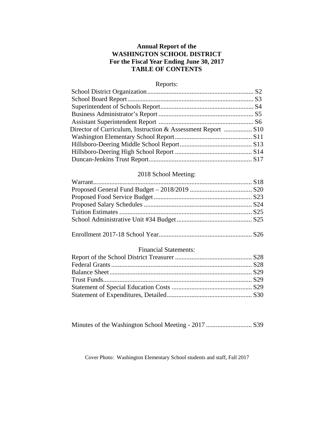# **Annual Report of the WASHINGTON SCHOOL DISTRICT For the Fiscal Year Ending June 30, 2017 TABLE OF CONTENTS**

# Reports:

| Director of Curriculum, Instruction & Assessment Report  S10 |  |
|--------------------------------------------------------------|--|
|                                                              |  |
|                                                              |  |
|                                                              |  |
|                                                              |  |

# 2018 School Meeting:

# Enrollment 2017-18 School Year......................................................... S26

## Financial Statements:

Minutes of the Washington School Meeting - 2017 ............................ S39

Cover Photo: Washington Elementary School students and staff, Fall 2017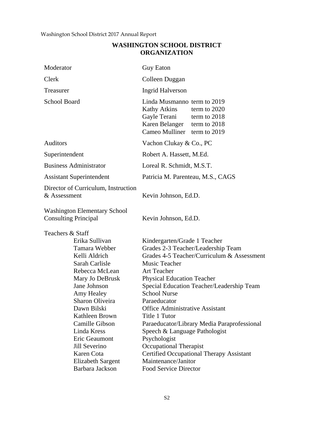# **WASHINGTON SCHOOL DISTRICT ORGANIZATION**

| Moderator                                                                                                                                                                                                                                                                                                                                     | <b>Guy Eaton</b>                                                                                                                                                                                                                                                                                                                                                                                                                                                                                                                                                                |
|-----------------------------------------------------------------------------------------------------------------------------------------------------------------------------------------------------------------------------------------------------------------------------------------------------------------------------------------------|---------------------------------------------------------------------------------------------------------------------------------------------------------------------------------------------------------------------------------------------------------------------------------------------------------------------------------------------------------------------------------------------------------------------------------------------------------------------------------------------------------------------------------------------------------------------------------|
| Clerk                                                                                                                                                                                                                                                                                                                                         | Colleen Duggan                                                                                                                                                                                                                                                                                                                                                                                                                                                                                                                                                                  |
| Treasurer                                                                                                                                                                                                                                                                                                                                     | <b>Ingrid Halverson</b>                                                                                                                                                                                                                                                                                                                                                                                                                                                                                                                                                         |
| <b>School Board</b>                                                                                                                                                                                                                                                                                                                           | Linda Musmanno term to 2019<br><b>Kathy Atkins</b><br>term to 2020<br>Gayle Terani<br>term to $2018$<br>Karen Belanger term to 2018<br>Cameo Mulliner term to 2019                                                                                                                                                                                                                                                                                                                                                                                                              |
| Auditors                                                                                                                                                                                                                                                                                                                                      | Vachon Clukay & Co., PC                                                                                                                                                                                                                                                                                                                                                                                                                                                                                                                                                         |
| Superintendent                                                                                                                                                                                                                                                                                                                                | Robert A. Hassett, M.Ed.                                                                                                                                                                                                                                                                                                                                                                                                                                                                                                                                                        |
| <b>Business Administrator</b>                                                                                                                                                                                                                                                                                                                 | Loreal R. Schmidt, M.S.T.                                                                                                                                                                                                                                                                                                                                                                                                                                                                                                                                                       |
| <b>Assistant Superintendent</b>                                                                                                                                                                                                                                                                                                               | Patricia M. Parenteau, M.S., CAGS                                                                                                                                                                                                                                                                                                                                                                                                                                                                                                                                               |
| Director of Curriculum, Instruction<br>& Assessment                                                                                                                                                                                                                                                                                           | Kevin Johnson, Ed.D.                                                                                                                                                                                                                                                                                                                                                                                                                                                                                                                                                            |
| <b>Washington Elementary School</b><br><b>Consulting Principal</b>                                                                                                                                                                                                                                                                            | Kevin Johnson, Ed.D.                                                                                                                                                                                                                                                                                                                                                                                                                                                                                                                                                            |
| Teachers & Staff<br>Erika Sullivan<br>Tamara Webber<br>Kelli Aldrich<br>Sarah Carlisle<br>Rebecca McLean<br>Mary Jo DeBrusk<br>Jane Johnson<br>Amy Healey<br>Sharon Oliveira<br>Dawn Bilski<br>Kathleen Brown<br>Camille Gibson<br>Linda Kress<br>Eric Geaumont<br>Jill Severino<br>Karen Cota<br><b>Elizabeth Sargent</b><br>Barbara Jackson | Kindergarten/Grade 1 Teacher<br>Grades 2-3 Teacher/Leadership Team<br>Grades 4-5 Teacher/Curriculum & Assessment<br>Music Teacher<br><b>Art Teacher</b><br><b>Physical Education Teacher</b><br>Special Education Teacher/Leadership Team<br><b>School Nurse</b><br>Paraeducator<br><b>Office Administrative Assistant</b><br>Title 1 Tutor<br>Paraeducator/Library Media Paraprofessional<br>Speech & Language Pathologist<br>Psychologist<br><b>Occupational Therapist</b><br><b>Certified Occupational Therapy Assistant</b><br>Maintenance/Janitor<br>Food Service Director |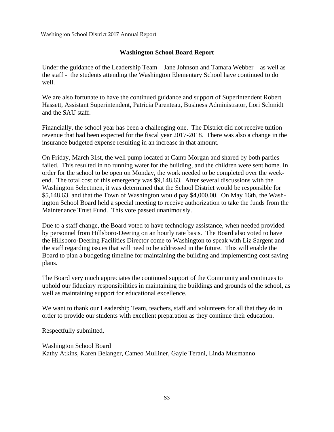# **Washington School Board Report**

Under the guidance of the Leadership Team – Jane Johnson and Tamara Webber – as well as the staff - the students attending the Washington Elementary School have continued to do well.

We are also fortunate to have the continued guidance and support of Superintendent Robert Hassett, Assistant Superintendent, Patricia Parenteau, Business Administrator, Lori Schmidt and the SAU staff.

Financially, the school year has been a challenging one. The District did not receive tuition revenue that had been expected for the fiscal year 2017-2018. There was also a change in the insurance budgeted expense resulting in an increase in that amount.

On Friday, March 31st, the well pump located at Camp Morgan and shared by both parties failed. This resulted in no running water for the building, and the children were sent home. In order for the school to be open on Monday, the work needed to be completed over the weekend. The total cost of this emergency was \$9,148.63. After several discussions with the Washington Selectmen, it was determined that the School District would be responsible for \$5,148.63. and that the Town of Washington would pay \$4,000.00. On May 16th, the Washington School Board held a special meeting to receive authorization to take the funds from the Maintenance Trust Fund. This vote passed unanimously.

Due to a staff change, the Board voted to have technology assistance, when needed provided by personnel from Hillsboro-Deering on an hourly rate basis. The Board also voted to have the Hillsboro-Deering Facilities Director come to Washington to speak with Liz Sargent and the staff regarding issues that will need to be addressed in the future. This will enable the Board to plan a budgeting timeline for maintaining the building and implementing cost saving plans.

The Board very much appreciates the continued support of the Community and continues to uphold our fiduciary responsibilities in maintaining the buildings and grounds of the school, as well as maintaining support for educational excellence.

We want to thank our Leadership Team, teachers, staff and volunteers for all that they do in order to provide our students with excellent preparation as they continue their education.

Respectfully submitted,

Washington School Board Kathy Atkins, Karen Belanger, Cameo Mulliner, Gayle Terani, Linda Musmanno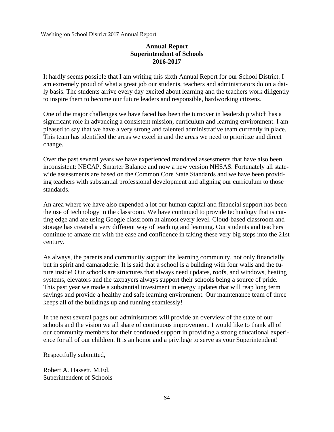# **Annual Report Superintendent of Schools 2016-2017**

It hardly seems possible that I am writing this sixth Annual Report for our School District. I am extremely proud of what a great job our students, teachers and administrators do on a daily basis. The students arrive every day excited about learning and the teachers work diligently to inspire them to become our future leaders and responsible, hardworking citizens.

One of the major challenges we have faced has been the turnover in leadership which has a significant role in advancing a consistent mission, curriculum and learning environment. I am pleased to say that we have a very strong and talented administrative team currently in place. This team has identified the areas we excel in and the areas we need to prioritize and direct change.

Over the past several years we have experienced mandated assessments that have also been inconsistent: NECAP, Smarter Balance and now a new version NHSAS. Fortunately all statewide assessments are based on the Common Core State Standards and we have been providing teachers with substantial professional development and aligning our curriculum to those standards.

An area where we have also expended a lot our human capital and financial support has been the use of technology in the classroom. We have continued to provide technology that is cutting edge and are using Google classroom at almost every level. Cloud-based classroom and storage has created a very different way of teaching and learning. Our students and teachers continue to amaze me with the ease and confidence in taking these very big steps into the 21st century.

As always, the parents and community support the learning community, not only financially but in spirit and camaraderie. It is said that a school is a building with four walls and the future inside! Our schools are structures that always need updates, roofs, and windows, heating systems, elevators and the taxpayers always support their schools being a source of pride. This past year we made a substantial investment in energy updates that will reap long term savings and provide a healthy and safe learning environment. Our maintenance team of three keeps all of the buildings up and running seamlessly!

In the next several pages our administrators will provide an overview of the state of our schools and the vision we all share of continuous improvement. I would like to thank all of our community members for their continued support in providing a strong educational experience for all of our children. It is an honor and a privilege to serve as your Superintendent!

Respectfully submitted,

Robert A. Hassett, M.Ed. Superintendent of Schools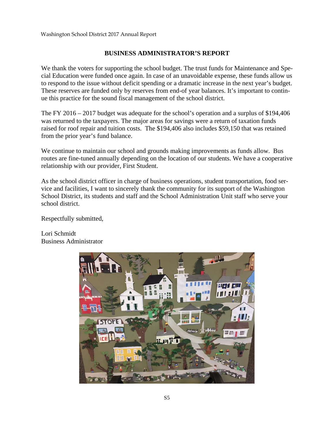# **BUSINESS ADMINISTRATOR'S REPORT**

We thank the voters for supporting the school budget. The trust funds for Maintenance and Special Education were funded once again. In case of an unavoidable expense, these funds allow us to respond to the issue without deficit spending or a dramatic increase in the next year's budget. These reserves are funded only by reserves from end-of year balances. It's important to continue this practice for the sound fiscal management of the school district.

The FY 2016 – 2017 budget was adequate for the school's operation and a surplus of \$194,406 was returned to the taxpayers. The major areas for savings were a return of taxation funds raised for roof repair and tuition costs. The \$194,406 also includes \$59,150 that was retained from the prior year's fund balance.

We continue to maintain our school and grounds making improvements as funds allow. Bus routes are fine-tuned annually depending on the location of our students. We have a cooperative relationship with our provider, First Student.

As the school district officer in charge of business operations, student transportation, food service and facilities, I want to sincerely thank the community for its support of the Washington School District, its students and staff and the School Administration Unit staff who serve your school district.

Respectfully submitted,

Lori Schmidt Business Administrator

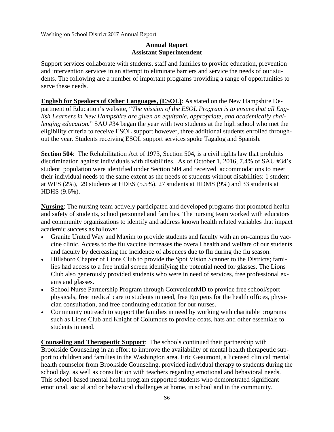# **Annual Report Assistant Superintendent**

Support services collaborate with students, staff and families to provide education, prevention and intervention services in an attempt to eliminate barriers and service the needs of our students. The following are a number of important programs providing a range of opportunities to serve these needs.

**English for Speakers of Other Languages, (ESOL)**: As stated on the New Hampshire Department of Education's website, "*The mission of the ESOL Program is to ensure that all English Learners in New Hampshire are given an equitable, appropriate, and academically challenging education.*" SAU #34 began the year with two students at the high school who met the eligibility criteria to receive ESOL support however, three additional students enrolled throughout the year. Students receiving ESOL support services spoke Tagalog and Spanish.

**Section 504**: The Rehabilitation Act of 1973, Section 504, is a civil rights law that prohibits discrimination against individuals with disabilities. As of October 1, 2016, 7.4% of SAU #34's student population were identified under Section 504 and received accommodations to meet their individual needs to the same extent as the needs of students without disabilities: 1 student at WES (2%), 29 students at HDES (5.5%), 27 students at HDMS (9%) and 33 students at HDHS (9.6%).

**Nursing**: The nursing team actively participated and developed programs that promoted health and safety of students, school personnel and families. The nursing team worked with educators and community organizations to identify and address known health related variables that impact academic success as follows:

- Granite United Way and Maxim to provide students and faculty with an on-campus flu vaccine clinic. Access to the flu vaccine increases the overall health and welfare of our students and faculty by decreasing the incidence of absences due to flu during the flu season.
- Hillsboro Chapter of Lions Club to provide the Spot Vision Scanner to the Districts; families had access to a free initial screen identifying the potential need for glasses. The Lions Club also generously provided students who were in need of services, free professional exams and glasses.
- School Nurse Partnership Program through ConvenientMD to provide free school/sport physicals, free medical care to students in need, free Epi pens for the health offices, physician consultation, and free continuing education for our nurses.
- Community outreach to support the families in need by working with charitable programs such as Lions Club and Knight of Columbus to provide coats, hats and other essentials to students in need.

**Counseling and Therapeutic Support**: The schools continued their partnership with Brookside Counseling in an effort to improve the availability of mental health therapeutic support to children and families in the Washington area. Eric Geaumont, a licensed clinical mental health counselor from Brookside Counseling, provided individual therapy to students during the school day, as well as consultation with teachers regarding emotional and behavioral needs. This school-based mental health program supported students who demonstrated significant emotional, social and or behavioral challenges at home, in school and in the community.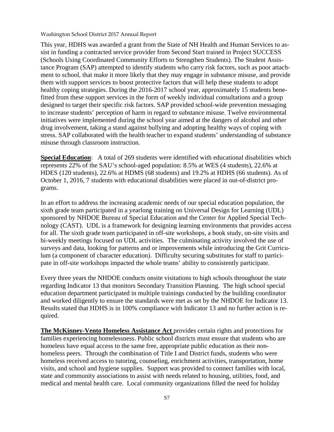This year, HDHS was awarded a grant from the State of NH Health and Human Services to assist in funding a contracted service provider from Second Start trained in Project SUCCESS (Schools Using Coordinated Community Efforts to Strengthen Students). The Student Assistance Program (SAP) attempted to identify students who carry risk factors, such as poor attachment to school, that make it more likely that they may engage in substance misuse, and provide them with support services to boost protective factors that will help these students to adopt healthy coping strategies. During the 2016-2017 school year, approximately 15 students benefitted from these support services in the form of weekly individual consultations and a group designed to target their specific risk factors. SAP provided school-wide prevention messaging to increase students' perception of harm in regard to substance misuse. Twelve environmental initiatives were implemented during the school year aimed at the dangers of alcohol and other drug involvement, taking a stand against bullying and adopting healthy ways of coping with stress. SAP collaborated with the health teacher to expand students' understanding of substance misuse through classroom instruction.

**Special Education:** A total of 269 students were identified with educational disabilities which represents 22% of the SAU's school-aged population: 8.5% at WES (4 students), 22.6% at HDES (120 students), 22.6% at HDMS (68 students) and 19.2% at HDHS (66 students). As of October 1, 2016, 7 students with educational disabilities were placed in out-of-district programs.

In an effort to address the increasing academic needs of our special education population, the sixth grade team participated in a yearlong training on Universal Design for Learning (UDL) sponsored by NHDOE Bureau of Special Education and the Center for Applied Special Technology (CAST). UDL is a framework for designing learning environments that provides access for all. The sixth grade team participated in off-site workshops, a book study, on-site visits and bi-weekly meetings focused on UDL activities. The culminating activity involved the use of surveys and data, looking for patterns and or improvements while introducing the Grit Curriculum (a component of character education). Difficulty securing substitutes for staff to participate in off-site workshops impacted the whole teams' ability to consistently participate.

Every three years the NHDOE conducts onsite visitations to high schools throughout the state regarding Indicator 13 that monitors Secondary Transition Planning. The high school special education department participated in multiple trainings conducted by the building coordinator and worked diligently to ensure the standards were met as set by the NHDOE for Indicator 13. Results stated that HDHS is in 100% compliance with Indicator 13 and no further action is required.

**The McKinney-Vento Homeless Assistance Act** provides certain rights and protections for families experiencing homelessness. Public school districts must ensure that students who are homeless have equal access to the same free, appropriate public education as their nonhomeless peers. Through the combination of Title I and District funds, students who were homeless received access to tutoring, counseling, enrichment activities, transportation, home visits, and school and hygiene supplies. Support was provided to connect families with local, state and community associations to assist with needs related to housing, utilities, food, and medical and mental health care. Local community organizations filled the need for holiday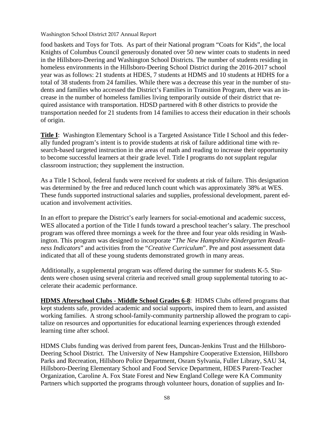food baskets and Toys for Tots. As part of their National program "Coats for Kids", the local Knights of Columbus Council generously donated over 50 new winter coats to students in need in the Hillsboro-Deering and Washington School Districts. The number of students residing in homeless environments in the Hillsboro-Deering School District during the 2016-2017 school year was as follows: 21 students at HDES, 7 students at HDMS and 10 students at HDHS for a total of 38 students from 24 families. While there was a decrease this year in the number of students and families who accessed the District's Families in Transition Program, there was an increase in the number of homeless families living temporarily outside of their district that required assistance with transportation. HDSD partnered with 8 other districts to provide the transportation needed for 21 students from 14 families to access their education in their schools of origin.

**Title I**: Washington Elementary School is a Targeted Assistance Title I School and this federally funded program's intent is to provide students at risk of failure additional time with research-based targeted instruction in the areas of math and reading to increase their opportunity to become successful learners at their grade level. Title I programs do not supplant regular classroom instruction; they supplement the instruction.

As a Title I School, federal funds were received for students at risk of failure. This designation was determined by the free and reduced lunch count which was approximately 38% at WES. These funds supported instructional salaries and supplies, professional development, parent education and involvement activities.

In an effort to prepare the District's early learners for social-emotional and academic success, WES allocated a portion of the Title I funds toward a preschool teacher's salary. The preschool program was offered three mornings a week for the three and four year olds residing in Washington. This program was designed to incorporate "*The New Hampshire Kindergarten Readiness Indicators*" and activities from the "*Creative Curriculum*". Pre and post assessment data indicated that all of these young students demonstrated growth in many areas.

Additionally, a supplemental program was offered during the summer for students K-5. Students were chosen using several criteria and received small group supplemental tutoring to accelerate their academic performance.

**HDMS Afterschool Clubs - Middle School Grades 6-8**: HDMS Clubs offered programs that kept students safe, provided academic and social supports, inspired them to learn, and assisted working families. A strong school-family-community partnership allowed the program to capitalize on resources and opportunities for educational learning experiences through extended learning time after school.

HDMS Clubs funding was derived from parent fees, Duncan-Jenkins Trust and the Hillsboro-Deering School District. The University of New Hampshire Cooperative Extension, Hillsboro Parks and Recreation, Hillsboro Police Department, Osram Sylvania, Fuller Library, SAU 34, Hillsboro-Deering Elementary School and Food Service Department, HDES Parent-Teacher Organization, Caroline A. Fox State Forest and New England College were KA Community Partners which supported the programs through volunteer hours, donation of supplies and In-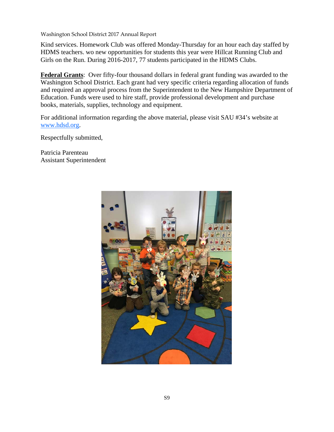Kind services. Homework Club was offered Monday-Thursday for an hour each day staffed by HDMS teachers. wo new opportunities for students this year were Hillcat Running Club and Girls on the Run. During 2016-2017, 77 students participated in the HDMS Clubs.

**Federal Grants**: Over fifty-four thousand dollars in federal grant funding was awarded to the Washington School District. Each grant had very specific criteria regarding allocation of funds and required an approval process from the Superintendent to the New Hampshire Department of Education. Funds were used to hire staff, provide professional development and purchase books, materials, supplies, technology and equipment.

For additional information regarding the above material, please visit SAU #34's website at www.hdsd.org.

Respectfully submitted,

Patricia Parenteau Assistant Superintendent

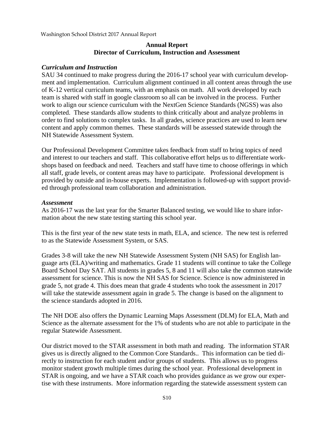# **Annual Report Director of Curriculum, Instruction and Assessment**

#### *Curriculum and Instruction*

SAU 34 continued to make progress during the 2016-17 school year with curriculum development and implementation. Curriculum alignment continued in all content areas through the use of K-12 vertical curriculum teams, with an emphasis on math. All work developed by each team is shared with staff in google classroom so all can be involved in the process. Further work to align our science curriculum with the NextGen Science Standards (NGSS) was also completed. These standards allow students to think critically about and analyze problems in order to find solutions to complex tasks. In all grades, science practices are used to learn new content and apply common themes. These standards will be assessed statewide through the NH Statewide Assessment System.

Our Professional Development Committee takes feedback from staff to bring topics of need and interest to our teachers and staff. This collaborative effort helps us to differentiate workshops based on feedback and need. Teachers and staff have time to choose offerings in which all staff, grade levels, or content areas may have to participate. Professional development is provided by outside and in-house experts. Implementation is followed-up with support provided through professional team collaboration and administration.

#### *Assessment*

As 2016-17 was the last year for the Smarter Balanced testing, we would like to share information about the new state testing starting this school year.

This is the first year of the new state tests in math, ELA, and science. The new test is referred to as the Statewide Assessment System, or SAS.

Grades 3-8 will take the new NH Statewide Assessment System (NH SAS) for English language arts (ELA)/writing and mathematics. Grade 11 students will continue to take the College Board School Day SAT. All students in grades 5, 8 and 11 will also take the common statewide assessment for science. This is now the NH SAS for Science. Science is now administered in grade 5, not grade 4. This does mean that grade 4 students who took the assessment in 2017 will take the statewide assessment again in grade 5. The change is based on the alignment to the science standards adopted in 2016.

The NH DOE also offers the Dynamic Learning Maps Assessment (DLM) for ELA, Math and Science as the alternate assessment for the 1% of students who are not able to participate in the regular Statewide Assessment.

Our district moved to the STAR assessment in both math and reading. The information STAR gives us is directly aligned to the Common Core Standards.. This information can be tied directly to instruction for each student and/or groups of students. This allows us to progress monitor student growth multiple times during the school year. Professional development in STAR is ongoing, and we have a STAR coach who provides guidance as we grow our expertise with these instruments. More information regarding the statewide assessment system can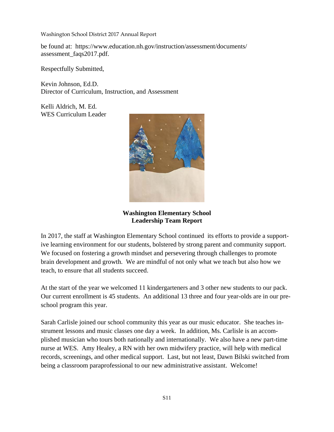be found at: https://www.education.nh.gov/instruction/assessment/documents/ assessment\_faqs2017.pdf.

Respectfully Submitted,

Kevin Johnson, Ed.D. Director of Curriculum, Instruction, and Assessment

Kelli Aldrich, M. Ed. WES Curriculum Leader



**Washington Elementary School Leadership Team Report** 

In 2017, the staff at Washington Elementary School continued its efforts to provide a supportive learning environment for our students, bolstered by strong parent and community support. We focused on fostering a growth mindset and persevering through challenges to promote brain development and growth. We are mindful of not only what we teach but also how we teach, to ensure that all students succeed.

At the start of the year we welcomed 11 kindergarteners and 3 other new students to our pack. Our current enrollment is 45 students. An additional 13 three and four year-olds are in our preschool program this year.

Sarah Carlisle joined our school community this year as our music educator. She teaches instrument lessons and music classes one day a week. In addition, Ms. Carlisle is an accomplished musician who tours both nationally and internationally. We also have a new part-time nurse at WES. Amy Healey, a RN with her own midwifery practice, will help with medical records, screenings, and other medical support. Last, but not least, Dawn Bilski switched from being a classroom paraprofessional to our new administrative assistant. Welcome!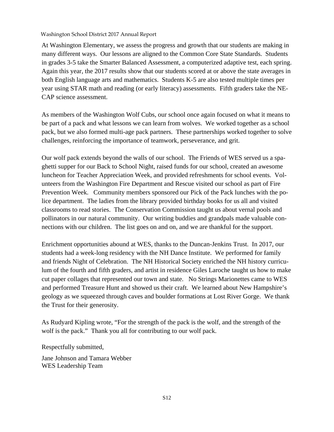At Washington Elementary, we assess the progress and growth that our students are making in many different ways. Our lessons are aligned to the Common Core State Standards. Students in grades 3-5 take the Smarter Balanced Assessment, a computerized adaptive test, each spring. Again this year, the 2017 results show that our students scored at or above the state averages in both English language arts and mathematics. Students K-5 are also tested multiple times per year using STAR math and reading (or early literacy) assessments. Fifth graders take the NE-CAP science assessment.

As members of the Washington Wolf Cubs, our school once again focused on what it means to be part of a pack and what lessons we can learn from wolves. We worked together as a school pack, but we also formed multi-age pack partners. These partnerships worked together to solve challenges, reinforcing the importance of teamwork, perseverance, and grit.

Our wolf pack extends beyond the walls of our school. The Friends of WES served us a spaghetti supper for our Back to School Night, raised funds for our school, created an awesome luncheon for Teacher Appreciation Week, and provided refreshments for school events. Volunteers from the Washington Fire Department and Rescue visited our school as part of Fire Prevention Week. Community members sponsored our Pick of the Pack lunches with the police department. The ladies from the library provided birthday books for us all and visited classrooms to read stories. The Conservation Commission taught us about vernal pools and pollinators in our natural community. Our writing buddies and grandpals made valuable connections with our children. The list goes on and on, and we are thankful for the support.

Enrichment opportunities abound at WES, thanks to the Duncan-Jenkins Trust. In 2017, our students had a week-long residency with the NH Dance Institute. We performed for family and friends Night of Celebration. The NH Historical Society enriched the NH history curriculum of the fourth and fifth graders, and artist in residence Giles Laroche taught us how to make cut paper collages that represented our town and state. No Strings Marionettes came to WES and performed Treasure Hunt and showed us their craft. We learned about New Hampshire's geology as we squeezed through caves and boulder formations at Lost River Gorge. We thank the Trust for their generosity.

As Rudyard Kipling wrote, "For the strength of the pack is the wolf, and the strength of the wolf is the pack." Thank you all for contributing to our wolf pack.

Respectfully submitted,

Jane Johnson and Tamara Webber WES Leadership Team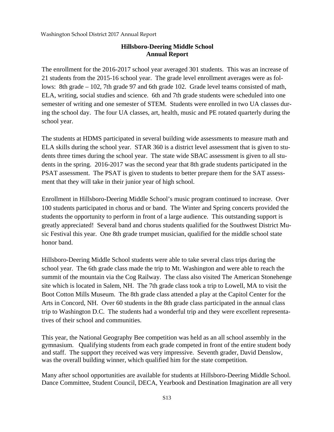# **Hillsboro-Deering Middle School Annual Report**

The enrollment for the 2016-2017 school year averaged 301 students. This was an increase of 21 students from the 2015-16 school year. The grade level enrollment averages were as follows: 8th grade – 102, 7th grade 97 and 6th grade 102. Grade level teams consisted of math, ELA, writing, social studies and science. 6th and 7th grade students were scheduled into one semester of writing and one semester of STEM. Students were enrolled in two UA classes during the school day. The four UA classes, art, health, music and PE rotated quarterly during the school year.

The students at HDMS participated in several building wide assessments to measure math and ELA skills during the school year. STAR 360 is a district level assessment that is given to students three times during the school year. The state wide SBAC assessment is given to all students in the spring. 2016-2017 was the second year that 8th grade students participated in the PSAT assessment. The PSAT is given to students to better prepare them for the SAT assessment that they will take in their junior year of high school.

Enrollment in Hillsboro-Deering Middle School's music program continued to increase. Over 100 students participated in chorus and or band. The Winter and Spring concerts provided the students the opportunity to perform in front of a large audience. This outstanding support is greatly appreciated! Several band and chorus students qualified for the Southwest District Music Festival this year. One 8th grade trumpet musician, qualified for the middle school state honor band.

Hillsboro-Deering Middle School students were able to take several class trips during the school year. The 6th grade class made the trip to Mt. Washington and were able to reach the summit of the mountain via the Cog Railway. The class also visited The American Stonehenge site which is located in Salem, NH. The 7th grade class took a trip to Lowell, MA to visit the Boot Cotton Mills Museum. The 8th grade class attended a play at the Capitol Center for the Arts in Concord, NH. Over 60 students in the 8th grade class participated in the annual class trip to Washington D.C. The students had a wonderful trip and they were excellent representatives of their school and communities.

This year, the National Geography Bee competition was held as an all school assembly in the gymnasium. Qualifying students from each grade competed in front of the entire student body and staff. The support they received was very impressive. Seventh grader, David Denslow, was the overall building winner, which qualified him for the state competition.

Many after school opportunities are available for students at Hillsboro-Deering Middle School. Dance Committee, Student Council, DECA, Yearbook and Destination Imagination are all very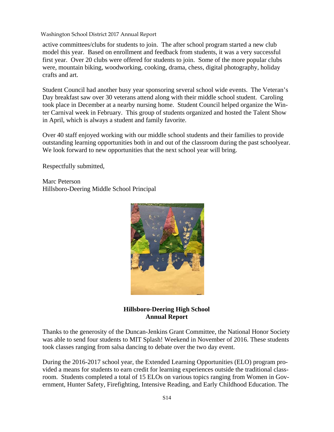active committees/clubs for students to join. The after school program started a new club model this year. Based on enrollment and feedback from students, it was a very successful first year. Over 20 clubs were offered for students to join. Some of the more popular clubs were, mountain biking, woodworking, cooking, drama, chess, digital photography, holiday crafts and art.

Student Council had another busy year sponsoring several school wide events. The Veteran's Day breakfast saw over 30 veterans attend along with their middle school student. Caroling took place in December at a nearby nursing home. Student Council helped organize the Winter Carnival week in February. This group of students organized and hosted the Talent Show in April, which is always a student and family favorite.

Over 40 staff enjoyed working with our middle school students and their families to provide outstanding learning opportunities both in and out of the classroom during the past schoolyear. We look forward to new opportunities that the next school year will bring.

Respectfully submitted,

Marc Peterson Hillsboro-Deering Middle School Principal



**Hillsboro-Deering High School Annual Report** 

Thanks to the generosity of the Duncan-Jenkins Grant Committee, the National Honor Society was able to send four students to MIT Splash! Weekend in November of 2016. These students took classes ranging from salsa dancing to debate over the two day event.

During the 2016-2017 school year, the Extended Learning Opportunities (ELO) program provided a means for students to earn credit for learning experiences outside the traditional classroom. Students completed a total of 15 ELOs on various topics ranging from Women in Government, Hunter Safety, Firefighting, Intensive Reading, and Early Childhood Education. The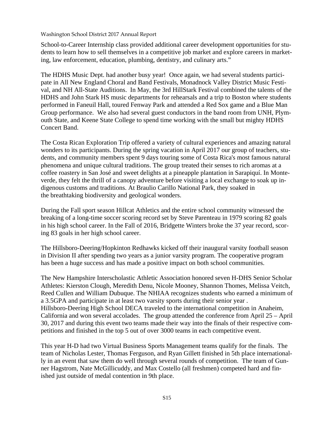School-to-Career Internship class provided additional career development opportunities for students to learn how to sell themselves in a competitive job market and explore careers in marketing, law enforcement, education, plumbing, dentistry, and culinary arts."

The HDHS Music Dept. had another busy year! Once again, we had several students participate in All New England Choral and Band Festivals, Monadnock Valley District Music Festival, and NH All-State Auditions. In May, the 3rd HillStark Festival combined the talents of the HDHS and John Stark HS music departments for rehearsals and a trip to Boston where students performed in Faneuil Hall, toured Fenway Park and attended a Red Sox game and a Blue Man Group performance. We also had several guest conductors in the band room from UNH, Plymouth State, and Keene State College to spend time working with the small but mighty HDHS Concert Band.

The Costa Rican Exploration Trip offered a variety of cultural experiences and amazing natural wonders to its participants. During the spring vacation in April 2017 our group of teachers, students, and community members spent 9 days touring some of Costa Rica's most famous natural phenomena and unique cultural traditions. The group treated their senses to rich aromas at a coffee roastery in San José and sweet delights at a pineapple plantation in Sarapiquí. In Monteverde, they felt the thrill of a canopy adventure before visiting a local exchange to soak up indigenous customs and traditions. At Braulio Carillo National Park, they soaked in the breathtaking biodiversity and geological wonders.

During the Fall sport season Hillcat Athletics and the entire school community witnessed the breaking of a long-time soccer scoring record set by Steve Parenteau in 1979 scoring 82 goals in his high school career. In the Fall of 2016, Bridgette Winters broke the 37 year record, scoring 83 goals in her high school career.

The Hillsboro-Deering/Hopkinton Redhawks kicked off their inaugural varsity football season in Division II after spending two years as a junior varsity program. The cooperative program has been a huge success and has made a positive impact on both school communities.

The New Hampshire Interscholastic Athletic Association honored seven H-DHS Senior Scholar Athletes: Kierston Clough, Meredith Denu, Nicole Mooney, Shannon Thomes, Melissa Veitch, Reed Cullen and William Dubuque. The NHIAA recognizes students who earned a minimum of a 3.5GPA and participate in at least two varsity sports during their senior year . Hillsboro-Deering High School DECA traveled to the international competition in Anaheim, California and won several accolades. The group attended the conference from April 25 – April 30, 2017 and during this event two teams made their way into the finals of their respective competitions and finished in the top 5 out of over 3000 teams in each competitive event.

This year H-D had two Virtual Business Sports Management teams qualify for the finals. The team of Nicholas Lester, Thomas Ferguson, and Ryan Gillett finished in 5th place internationally in an event that saw them do well through several rounds of competition. The team of Gunner Hagstrom, Nate McGillicuddy, and Max Costello (all freshmen) competed hard and finished just outside of medal contention in 9th place.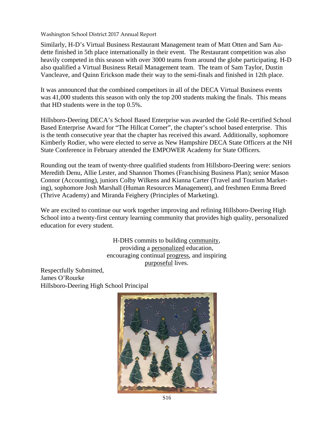Similarly, H-D's Virtual Business Restaurant Management team of Matt Otten and Sam Audette finished in 5th place internationally in their event. The Restaurant competition was also heavily competed in this season with over 3000 teams from around the globe participating. H-D also qualified a Virtual Business Retail Management team. The team of Sam Taylor, Dustin Vancleave, and Quinn Erickson made their way to the semi-finals and finished in 12th place.

It was announced that the combined competitors in all of the DECA Virtual Business events was 41,000 students this season with only the top 200 students making the finals. This means that HD students were in the top 0.5%.

Hillsboro-Deering DECA's School Based Enterprise was awarded the Gold Re-certified School Based Enterprise Award for "The Hillcat Corner", the chapter's school based enterprise. This is the tenth consecutive year that the chapter has received this award. Additionally, sophomore Kimberly Rodier, who were elected to serve as New Hampshire DECA State Officers at the NH State Conference in February attended the EMPOWER Academy for State Officers.

Rounding out the team of twenty-three qualified students from Hillsboro-Deering were: seniors Meredith Denu, Allie Lester, and Shannon Thomes (Franchising Business Plan); senior Mason Connor (Accounting), juniors Colby Wilkens and Kianna Carter (Travel and Tourism Marketing), sophomore Josh Marshall (Human Resources Management), and freshmen Emma Breed (Thrive Academy) and Miranda Feighery (Principles of Marketing).

We are excited to continue our work together improving and refining Hillsboro-Deering High School into a twenty-first century learning community that provides high quality, personalized education for every student.

> H-DHS commits to building community, providing a personalized education, encouraging continual progress, and inspiring purposeful lives.

Respectfully Submitted, James O'Rourke Hillsboro-Deering High School Principal

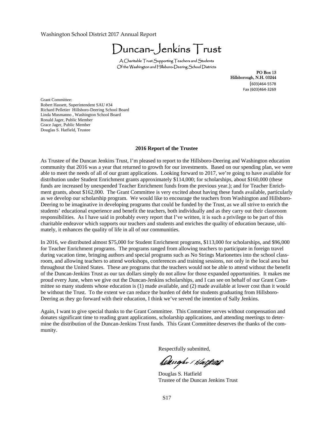Duncan-Jenkins Trust

A Charitable Trust Supporting Teachers and Students Of the Washington and Hillsboro-Deering School Districts

PO Box 13 Hillsborough, N.H. 03244  $(603)464-5578$ Fax (603)464‐3269

Grant Committee: Robert Hassett, Superintendent SAU #34 Richard Pelletier Hillsboro-Deering School Board Linda Musmanno , Washington School Board Ronald Jager, Public Member Grace Jager, Public Member Douglas S. Hatfield, Trustee

#### **2016 Report of the Trustee**

As Trustee of the Duncan Jenkins Trust, I'm pleased to report to the Hillsboro-Deering and Washington education community that 2016 was a year that returned to growth for our investments. Based on our spending plan, we were able to meet the needs of all of our grant applications. Looking forward to 2017, we're going to have available for distribution under Student Enrichment grants approximately \$114,000; for scholarships, about \$160,000 (these funds are increased by unexpended Teacher Enrichment funds from the previous year.); and for Teacher Enrichment grants, about \$162,000. The Grant Committee is very excited about having these funds available, particularly as we develop our scholarship program. We would like to encourage the teachers from Washington and Hillsboro-Deering to be imaginative in developing programs that could be funded by the Trust, as we all strive to enrich the students' educational experience and benefit the teachers, both individually and as they carry out their classroom responsibilities. As I have said in probably every report that I've written, it is such a privilege to be part of this charitable endeavor which supports our teachers and students and enriches the quality of education because, ultimately, it enhances the quality of life in all of our communities.

In 2016, we distributed almost \$75,000 for Student Enrichment programs, \$113,000 for scholarships, and \$96,000 for Teacher Enrichment programs. The programs ranged from allowing teachers to participate in foreign travel during vacation time, bringing authors and special programs such as No Strings Marionettes into the school classroom, and allowing teachers to attend workshops, conferences and training sessions, not only in the local area but throughout the United States. These are programs that the teachers would not be able to attend without the benefit of the Duncan-Jenkins Trust as our tax dollars simply do not allow for those expanded opportunities. It makes me proud every June, when we give out the Duncan-Jenkins scholarships, and I can see on behalf of our Grant Committee so many students whose education is (1) made available, and (2) made available at lower cost than it would be without the Trust. To the extent we can reduce the burden of debt for students graduating from Hillsboro-Deering as they go forward with their education, I think we've served the intention of Sally Jenkins.

Again, I want to give special thanks to the Grant Committee. This Committee serves without compensation and donates significant time to reading grant applications, scholarship applications, and attending meetings to determine the distribution of the Duncan-Jenkins Trust funds. This Grant Committee deserves the thanks of the community.

Respectfully submitted,

Daugh / Halfard

 Douglas S. Hatfield Trustee of the Duncan Jenkins Trust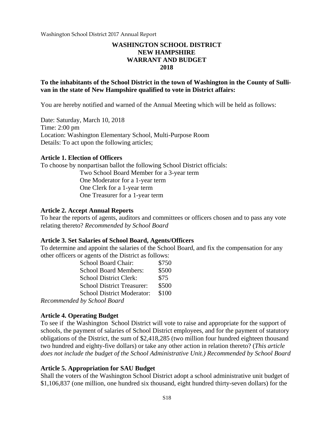# **WASHINGTON SCHOOL DISTRICT NEW HAMPSHIRE WARRANT AND BUDGET 2018**

## **To the inhabitants of the School District in the town of Washington in the County of Sullivan in the state of New Hampshire qualified to vote in District affairs:**

You are hereby notified and warned of the Annual Meeting which will be held as follows:

Date: Saturday, March 10, 2018 Time: 2:00 pm Location: Washington Elementary School, Multi-Purpose Room Details: To act upon the following articles;

#### **Article 1. Election of Officers**

To choose by nonpartisan ballot the following School District officials: Two School Board Member for a 3-year term One Moderator for a 1-year term One Clerk for a 1-year term One Treasurer for a 1-year term

## **Article 2. Accept Annual Reports**

To hear the reports of agents, auditors and committees or officers chosen and to pass any vote relating thereto? *Recommended by School Board*

#### **Article 3. Set Salaries of School Board, Agents/Officers**

To determine and appoint the salaries of the School Board, and fix the compensation for any other officers or agents of the District as follows:

| School Board Chair:               | \$750 |
|-----------------------------------|-------|
| <b>School Board Members:</b>      | \$500 |
| <b>School District Clerk:</b>     | \$75  |
| <b>School District Treasurer:</b> | \$500 |
| <b>School District Moderator:</b> | \$100 |
| Recommended by School Board       |       |

*Recommended by School Board*

#### **Article 4. Operating Budget**

To see if the Washington School District will vote to raise and appropriate for the support of schools, the payment of salaries of School District employees, and for the payment of statutory obligations of the District, the sum of \$2,418,285 (two million four hundred eighteen thousand two hundred and eighty-five dollars) or take any other action in relation thereto? (*This article does not include the budget of the School Administrative Unit.) Recommended by School Board*

### **Article 5. Appropriation for SAU Budget**

Shall the voters of the Washington School District adopt a school administrative unit budget of \$1,106,837 (one million, one hundred six thousand, eight hundred thirty-seven dollars) for the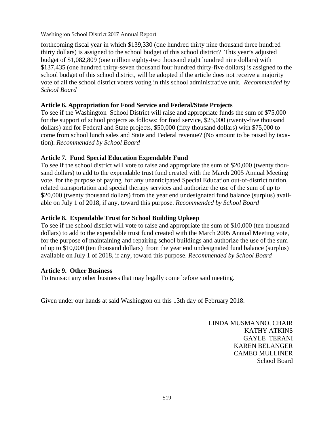forthcoming fiscal year in which \$139,330 (one hundred thirty nine thousand three hundred thirty dollars) is assigned to the school budget of this school district? This year's adjusted budget of \$1,082,809 (one million eighty-two thousand eight hundred nine dollars) with \$137,435 (one hundred thirty-seven thousand four hundred thirty-five dollars) is assigned to the school budget of this school district, will be adopted if the article does not receive a majority vote of all the school district voters voting in this school administrative unit. *Recommended by School Board*

# **Article 6. Appropriation for Food Service and Federal/State Projects**

To see if the Washington School District will raise and appropriate funds the sum of \$75,000 for the support of school projects as follows: for food service, \$25,000 (twenty-five thousand dollars) and for Federal and State projects, \$50,000 (fifty thousand dollars) with \$75,000 to come from school lunch sales and State and Federal revenue? (No amount to be raised by taxation). *Recommended by School Board*

# **Article 7. Fund Special Education Expendable Fund**

To see if the school district will vote to raise and appropriate the sum of \$20,000 (twenty thousand dollars) to add to the expendable trust fund created with the March 2005 Annual Meeting vote, for the purpose of paying for any unanticipated Special Education out-of-district tuition, related transportation and special therapy services and authorize the use of the sum of up to \$20,000 (twenty thousand dollars) from the year end undesignated fund balance (surplus) available on July 1 of 2018, if any, toward this purpose. *Recommended by School Board*

# **Article 8. Expendable Trust for School Building Upkeep**

To see if the school district will vote to raise and appropriate the sum of \$10,000 (ten thousand dollars) to add to the expendable trust fund created with the March 2005 Annual Meeting vote, for the purpose of maintaining and repairing school buildings and authorize the use of the sum of up to \$10,000 (ten thousand dollars) from the year end undesignated fund balance (surplus) available on July 1 of 2018, if any, toward this purpose. *Recommended by School Board*

# **Article 9. Other Business**

To transact any other business that may legally come before said meeting.

Given under our hands at said Washington on this 13th day of February 2018.

LINDA MUSMANNO, CHAIR KATHY ATKINS GAYLE TERANI KAREN BELANGER CAMEO MULLINER School Board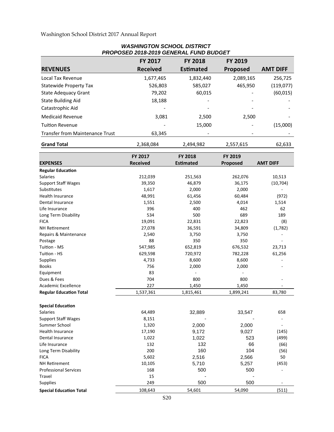#### *PROPOSED 2018-2019 GENERAL FUND BUDGET*  **REVENUES FY 2017 Received FY 2018 EsƟmated FY 2019 Proposed AMT DIFF**  Local Tax Revenue 1,677,465 1,832,440 2,089,165 256,725 Statewide Property Tax 526,803 585,027 465,950 (119,077) State Adequacy Grant 79,202 60,015 ‐ (60,015) State Building Aid **and State Building Aid 18,188 18,188 18,188** Catastrophic Aid **Andrew Catastrophic Aid** Medicaid Revenue 3,081 2,500 2,500 ‐ TuiƟon Revenue ‐ 15,000 ‐ (15,000) Transfer from Maintenance Trust  $\overline{63,345}$  and  $\overline{10,100}$  and  $\overline{10,100}$  and  $\overline{10,100}$  and  $\overline{10,100}$  and  $\overline{10,100}$  and  $\overline{10,100}$  and  $\overline{10,100}$  and  $\overline{10,100}$  and  $\overline{10,100}$  and  $\overline{10,10$ **Grand Total** 2,368,084 2,494,982 2,557,615 62,633

*WASHINGTON SCHOOL DISTRICT* 

|                                | FY 2017         | FY 2018          | FY 2019   |                          |
|--------------------------------|-----------------|------------------|-----------|--------------------------|
| <b>EXPENSES</b>                | <b>Received</b> | <b>Estimated</b> | Proposed  | <b>AMT DIFF</b>          |
| <b>Regular Education</b>       |                 |                  |           |                          |
| <b>Salaries</b>                | 212,039         | 251,563          | 262,076   | 10,513                   |
| <b>Support Staff Wages</b>     | 39,350          | 46,879           | 36,175    | (10, 704)                |
| Substitutes                    | 1,617           | 2,000            | 2,000     |                          |
| <b>Health Insurance</b>        | 48,991          | 61,456           | 60,484    | (972)                    |
| Dental Insurance               | 1,551           | 2,500            | 4,014     | 1,514                    |
| Life Insurance                 | 396             | 400              | 462       | 62                       |
| Long Term Disability           | 534             | 500              | 689       | 189                      |
| <b>FICA</b>                    | 19,091          | 22,831           | 22,823    | (8)                      |
| <b>NH Retirement</b>           | 27,078          | 36,591           | 34,809    | (1,782)                  |
| Repairs & Maintenance          | 2,540           | 3,750            | 3,750     |                          |
| Postage                        | 88              | 350              | 350       |                          |
| Tuition - MS                   | 547,985         | 652,819          | 676,532   | 23,713                   |
| Tuition - HS                   | 629,598         | 720,972          | 782,228   | 61,256                   |
| Supplies                       | 4,733           | 8,600            | 8,600     |                          |
| <b>Books</b>                   | 756             | 2,000            | 2,000     |                          |
| Equipment                      | 83              |                  |           |                          |
| Dues & Fees                    | 704             | 800              | 800       |                          |
| <b>Academic Excellence</b>     | 227             | 1,450            | 1,450     |                          |
| <b>Regular Education Total</b> | 1,537,361       | 1,815,461        | 1,899,241 | 83,780                   |
| <b>Special Education</b>       |                 |                  |           |                          |
| <b>Salaries</b>                | 64,489          | 32,889           | 33,547    | 658                      |
| <b>Support Staff Wages</b>     | 8,151           |                  |           | $\sim$                   |
| Summer School                  | 1,320           | 2,000            | 2,000     |                          |
| Health Insurance               | 17,190          | 9,172            | 9,027     | (145)                    |
| Dental Insurance               | 1,022           | 1,022            | 523       | (499)                    |
| Life Insurance                 | 132             | 132              | 66        | (66)                     |
| Long Term Disability           | 200             | 160              | 104       | (56)                     |
| <b>FICA</b>                    | 5,602           | 2,516            | 2,566     | 50                       |
| <b>NH Retirement</b>           | 10,105          | 5,710            | 5,257     | (453)                    |
| <b>Professional Services</b>   | 168             | 500              | 500       | $\overline{\phantom{0}}$ |
| Travel                         | 15              |                  |           |                          |
| <b>Supplies</b>                | 249             | 500              | 500       |                          |
| <b>Special Education Total</b> | 108,643         | 54,601           | 54,090    | (511)                    |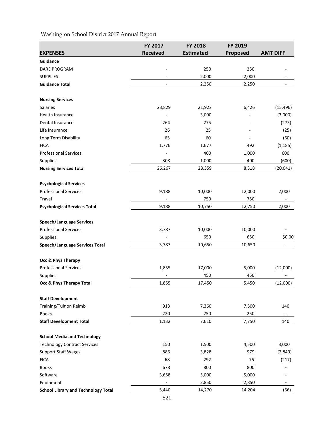|                                            | FY 2017                  | <b>FY 2018</b>   | FY 2019  |                 |
|--------------------------------------------|--------------------------|------------------|----------|-----------------|
| <b>EXPENSES</b>                            | <b>Received</b>          | <b>Estimated</b> | Proposed | <b>AMT DIFF</b> |
| Guidance                                   |                          |                  |          |                 |
| <b>DARE PROGRAM</b>                        |                          | 250              | 250      |                 |
| <b>SUPPLIES</b>                            |                          | 2,000            | 2,000    |                 |
| <b>Guidance Total</b>                      |                          | 2,250            | 2,250    |                 |
|                                            |                          |                  |          |                 |
| <b>Nursing Services</b>                    |                          |                  |          |                 |
| <b>Salaries</b>                            | 23,829                   | 21,922           | 6,426    | (15, 496)       |
| Health Insurance                           | ÷,                       | 3,000            |          | (3,000)         |
| Dental Insurance                           | 264                      | 275              |          | (275)           |
| Life Insurance                             | 26                       | 25               |          | (25)            |
| Long Term Disability                       | 65                       | 60               |          | (60)            |
| <b>FICA</b>                                | 1,776                    | 1,677            | 492      | (1, 185)        |
| <b>Professional Services</b>               |                          | 400              | 1,000    | 600             |
| Supplies                                   | 308                      | 1,000            | 400      | (600)           |
| <b>Nursing Services Total</b>              | 26,267                   | 28,359           | 8,318    | (20, 041)       |
| <b>Psychological Services</b>              |                          |                  |          |                 |
| <b>Professional Services</b>               | 9,188                    | 10,000           | 12,000   | 2,000           |
| Travel                                     |                          | 750              | 750      |                 |
| <b>Psychological Services Total</b>        | 9,188                    | 10,750           | 12,750   | 2,000           |
| <b>Speech/Language Services</b>            |                          |                  |          |                 |
| <b>Professional Services</b>               | 3,787                    | 10,000           | 10,000   |                 |
| Supplies                                   |                          | 650              | 650      | \$0.00          |
| <b>Speech/Language Services Total</b>      | 3,787                    | 10,650           | 10,650   | ۰               |
|                                            |                          |                  |          |                 |
| Occ & Phys Therapy                         |                          |                  |          |                 |
| <b>Professional Services</b>               | 1,855                    | 17,000           | 5,000    | (12,000)        |
| Supplies                                   |                          | 450              | 450      |                 |
| Occ & Phys Therapy Total                   | 1,855                    | 17,450           | 5,450    | (12,000)        |
| <b>Staff Development</b>                   |                          |                  |          |                 |
| Training/Tuition Reimb                     | 913                      | 7,360            | 7,500    | 140             |
| <b>Books</b>                               | 220                      | 250              | 250      |                 |
| <b>Staff Development Total</b>             | 1,132                    | 7,610            | 7,750    | 140             |
| <b>School Media and Technology</b>         |                          |                  |          |                 |
| <b>Technology Contract Services</b>        | 150                      | 1,500            | 4,500    | 3,000           |
| <b>Support Staff Wages</b>                 | 886                      | 3,828            | 979      | (2,849)         |
| <b>FICA</b>                                | 68                       | 292              | 75       | (217)           |
| <b>Books</b>                               | 678                      | 800              | 800      |                 |
| Software                                   | 3,658                    | 5,000            | 5,000    |                 |
| Equipment                                  | $\overline{\phantom{a}}$ | 2,850            | 2,850    |                 |
| <b>School Library and Technology Total</b> | 5,440                    | 14,270           | 14,204   | (66)            |
|                                            |                          |                  |          |                 |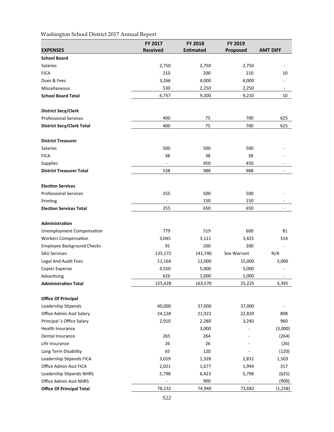|                                   | FY 2017                  | <b>FY 2018</b>   | FY 2019                      |                 |
|-----------------------------------|--------------------------|------------------|------------------------------|-----------------|
| <b>EXPENSES</b>                   | <b>Received</b>          | <b>Estimated</b> | Proposed                     | <b>AMT DIFF</b> |
| <b>School Board</b>               |                          |                  |                              |                 |
| <b>Salaries</b>                   | 2,750                    | 2,750            | 2,750                        |                 |
| <b>FICA</b>                       | 210                      | 200              | 210                          | 10              |
| Dues & Fees                       | 3,266                    | 4,000            | 4,000                        |                 |
| Miscellaneous                     | 530                      | 2,250            | 2,250                        |                 |
| <b>School Board Total</b>         | 6,757                    | 9,200            | 9,210                        | 10              |
| <b>District Secy/Clerk</b>        |                          |                  |                              |                 |
| <b>Professional Services</b>      | 400                      | 75               | 700                          | 625             |
| <b>District Secy/Clerk Total</b>  | 400                      | 75               | 700                          | 625             |
| <b>District Treasurer</b>         |                          |                  |                              |                 |
| <b>Salaries</b>                   | 500                      | 500              | 500                          |                 |
| <b>FICA</b>                       | 38                       | 38               | 38                           |                 |
| Supplies                          |                          | 450              | 450                          |                 |
| <b>District Treasurer Total</b>   | 538                      | 988              | 988                          |                 |
| <b>Election Services</b>          |                          |                  |                              |                 |
| <b>Professional Services</b>      | 255                      | 500              | 500                          |                 |
| Printing                          | $\overline{\phantom{a}}$ | 150              | 150                          |                 |
| <b>Election Services Total</b>    | 255                      | 650              | 650                          |                 |
| Administration                    |                          |                  |                              |                 |
| <b>Unemployment Compensation</b>  | 779                      | 519              | 600                          | 81              |
| <b>Workers Compensation</b>       | 3,045                    | 3,111            | 3,425                        | 314             |
| <b>Employee Background Checks</b> | 91                       | 200              | 200                          |                 |
| <b>SAU Services</b>               | 135,172                  | 141,740          | See Warrant                  | N/A             |
| Legal And Audit Fees              | 11,164                   | 12,000           | 15,000                       | 3,000           |
| Copier Expense                    | 4,550                    | 5,000            | 5,000                        |                 |
| Advertising                       | 626                      | 1,000            | 1,000                        |                 |
| <b>Administration Total</b>       | 155,428                  | 163,570          | 25,225                       | 3,395           |
| <b>Office Of Principal</b>        |                          |                  |                              |                 |
| Leadership Stipends               | 40,000                   | 37,000           | 37,000                       |                 |
| Office Admin Asst Salary          | 24,128                   | 21,922           | 22,820                       | 898             |
| Principal 's Office Salary        | 2,910                    | 2,280            | 3,240                        | 960             |
| Health Insurance                  |                          | 3,000            |                              | (3,000)         |
| Dental Insurance                  | 265                      | 264              |                              | (264)           |
| Life Insurance                    | 26                       | 26               |                              | (26)            |
| Long Term Disability              | 65                       | 120              |                              | (120)           |
| Leadership Stipends FICA          | 3,019                    | 1,328            | 2,831                        | 1,503           |
| Office Admin Asst FICA            | 2,021                    | 1,677            | 1,994                        | 317             |
| Leadership Stipends NHRS          | 5,798                    | 6,423            | 5,798                        | (625)           |
| Office Admin Asst NHRS            | $\blacksquare$           | 900              | $\qquad \qquad \blacksquare$ | (900)           |
| <b>Office Of Principal Total</b>  | 78,232                   | 74,940           | 73,682                       | (1, 258)        |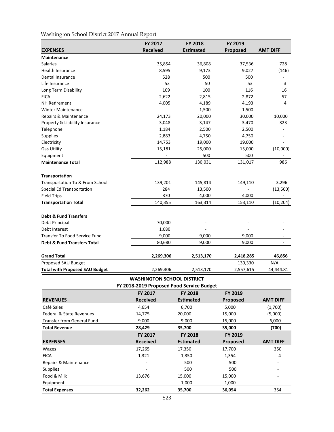|                                        | FY 2017         | FY 2018          | FY 2019   |                 |
|----------------------------------------|-----------------|------------------|-----------|-----------------|
| <b>EXPENSES</b>                        | <b>Received</b> | <b>Estimated</b> | Proposed  | <b>AMT DIFF</b> |
| <b>Maintenance</b>                     |                 |                  |           |                 |
| <b>Salaries</b>                        | 35,854          | 36,808           | 37,536    | 728             |
| Health Insurance                       | 8,595           | 9,173            | 9,027     | (146)           |
| Dental Insurance                       | 528             | 500              | 500       |                 |
| Life Insurance                         | 53              | 50               | 53        | 3               |
| Long Term Disability                   | 109             | 100              | 116       | 16              |
| <b>FICA</b>                            | 2,622           | 2,815            | 2,872     | 57              |
| <b>NH Retirement</b>                   | 4,005           | 4,189            | 4,193     | 4               |
| <b>Winter Maintenance</b>              |                 | 1,500            | 1,500     |                 |
| Repairs & Maintenance                  | 24,173          | 20,000           | 30,000    | 10,000          |
| Property & Liability Insurance         | 3,048           | 3,147            | 3,470     | 323             |
| Telephone                              | 1,184           | 2,500            | 2,500     |                 |
| <b>Supplies</b>                        | 2,883           | 4,750            | 4,750     |                 |
| Electricity                            | 14,753          | 19,000           | 19,000    |                 |
| <b>Gas Utility</b>                     | 15,181          | 25,000           | 15,000    | (10,000)        |
| Equipment                              |                 | 500              | 500       |                 |
| <b>Maintenance Total</b>               | 112,988         | 130,031          | 131,017   | 986             |
| <b>Transportation</b>                  |                 |                  |           |                 |
| Transportation To & From School        | 139,201         | 145,814          | 149,110   | 3,296           |
| Special Ed Transportation              | 284             | 13,500           |           | (13,500)        |
| <b>Field Trips</b>                     | 870             | 4,000            | 4,000     |                 |
| <b>Transportation Total</b>            | 140,355         | 163,314          | 153,110   | (10, 204)       |
| <b>Debt &amp; Fund Transfers</b>       |                 |                  |           |                 |
| Debt Principal                         | 70,000          |                  |           |                 |
| Debt Interest                          | 1,680           |                  |           |                 |
| <b>Transfer To Food Service Fund</b>   | 9,000           | 9,000            | 9,000     |                 |
| <b>Debt &amp; Fund Transfers Total</b> | 80,680          | 9,000            | 9,000     |                 |
|                                        |                 |                  |           |                 |
| <b>Grand Total</b>                     | 2,269,306       | 2,513,170        | 2,418,285 | 46,856          |
| Proposed SAU Budget                    |                 |                  | 139,330   | N/A             |
| <b>Total with Proposed SAU Budget</b>  | 2,269,306       | 2,513,170        | 2,557,615 | 44,444.81       |

#### **WASHINGTON SCHOOL DISTRICT FY 2018‐2019 Proposed Food Service Budget**

| . . 2010 20190p09ca . 00a 9c. cc Dauget |                 |                  |                 |                          |
|-----------------------------------------|-----------------|------------------|-----------------|--------------------------|
|                                         | <b>FY 2017</b>  | <b>FY 2018</b>   | FY 2019         |                          |
| <b>REVENUES</b>                         | <b>Received</b> | <b>Estimated</b> | <b>Proposed</b> | <b>AMT DIFF</b>          |
| Café Sales                              | 4,654           | 6,700            | 5,000           | (1,700)                  |
| <b>Federal &amp; State Revenues</b>     | 14,775          | 20,000           | 15,000          | (5,000)                  |
| <b>Transfer from General Fund</b>       | 9,000           | 9,000            | 15,000          | 6,000                    |
| <b>Total Revenue</b>                    | 28,429          | 35,700           | 35,000          | (700)                    |
|                                         | <b>FY 2017</b>  | <b>FY 2018</b>   | <b>FY 2019</b>  |                          |
| <b>EXPENSES</b>                         | <b>Received</b> | <b>Estimated</b> | <b>Proposed</b> | <b>AMT DIFF</b>          |
| <b>Wages</b>                            | 17,265          | 17,350           | 17,700          | 350                      |
| <b>FICA</b>                             | 1,321           | 1,350            | 1,354           | 4                        |
| Repairs & Maintenance                   |                 | 500              | 500             |                          |
| <b>Supplies</b>                         |                 | 500              | 500             | $\overline{\phantom{a}}$ |
| Food & Milk                             | 13,676          | 15,000           | 15,000          | $\overline{\phantom{a}}$ |
| Equipment                               |                 | 1,000            | 1,000           | -                        |
| <b>Total Expenses</b>                   | 32,262          | 35,700           | 36,054          | 354                      |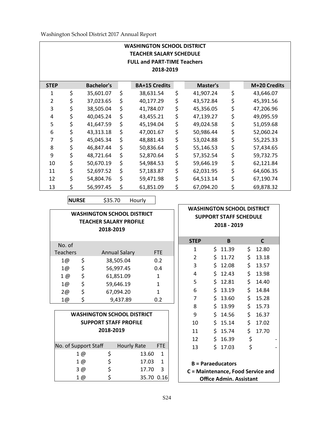| <b>WASHINGTON SCHOOL DISTRICT</b><br><b>TEACHER SALARY SCHEDULE</b><br><b>FULL and PART-TIME Teachers</b><br>2018-2019 |    |                   |    |                      |    |           |                 |
|------------------------------------------------------------------------------------------------------------------------|----|-------------------|----|----------------------|----|-----------|-----------------|
| <b>STEP</b>                                                                                                            |    | <b>Bachelor's</b> |    | <b>BA+15 Credits</b> |    | Master's  | M+20 Credits    |
| 1                                                                                                                      | \$ | 35,601.07         | \$ | 38,631.54            | \$ | 41,907.24 | \$<br>43,646.07 |
| 2                                                                                                                      | \$ | 37,023.65         | \$ | 40,177.29            | \$ | 43,572.84 | \$<br>45,391.56 |
| 3                                                                                                                      | \$ | 38,505.04         | \$ | 41,784.07            | \$ | 45,356.05 | \$<br>47,206.96 |
| 4                                                                                                                      | \$ | 40,045.24         | \$ | 43,455.21            | \$ | 47,139.27 | \$<br>49,095.59 |
| 5                                                                                                                      | \$ | 41,647.59         | \$ | 45,194.04            | \$ | 49,024.58 | \$<br>51,059.68 |
| 6                                                                                                                      | \$ | 43,313.18         | \$ | 47,001.67            | \$ | 50,986.44 | \$<br>52,060.24 |
| 7                                                                                                                      | \$ | 45,045.34         | \$ | 48,881.43            | \$ | 53,024.88 | \$<br>55,225.33 |
| 8                                                                                                                      | \$ | 46,847.44         | \$ | 50,836.64            | \$ | 55,146.53 | \$<br>57,434.65 |
| 9                                                                                                                      | \$ | 48,721.64         | \$ | 52,870.64            | \$ | 57,352.54 | \$<br>59,732.75 |
| 10                                                                                                                     | \$ | 50,670.19         | \$ | 54,984.53            | \$ | 59,646.19 | \$<br>62,121.84 |
| 11                                                                                                                     | \$ | 52,697.52         | \$ | 57,183.87            | \$ | 62,031.95 | \$<br>64,606.35 |
| 12                                                                                                                     | \$ | 54,804.76         | \$ | 59,471.98            | \$ | 64,513.14 | \$<br>67,190.74 |
| 13                                                                                                                     | \$ | 56,997.45         | \$ | 61,851.09            | \$ | 67,094.20 | \$<br>69,878.32 |

**NURSE**  \$35.70 Hourly

|                 | <b>WASHINGTON SCHOOL DISTRICT</b><br><b>TEACHER SALARY PROFILE</b><br>2018-2019 |            |
|-----------------|---------------------------------------------------------------------------------|------------|
| No. of          |                                                                                 |            |
| <b>Teachers</b> | <b>Annual Salary</b>                                                            | <b>FTE</b> |
| \$<br>1@        | 38,505.04                                                                       | 0.2        |
| \$<br>1@        | 56,997.45                                                                       | 0.4        |
| \$<br>1@        | 61,851.09                                                                       | 1          |
| \$<br>1@        | 59,646.19                                                                       | 1          |
| \$<br>2@        | 67,094.20                                                                       | 1          |
| \$<br>1@        | 9,437.89                                                                        | 0.2        |

| <b>WASHINGTON SCHOOL DISTRICT</b><br><b>SUPPORT STAFF PROFILE</b><br>2018-2019 |    |                    |              |  |  |  |
|--------------------------------------------------------------------------------|----|--------------------|--------------|--|--|--|
| No. of Support Staff                                                           |    | <b>Hourly Rate</b> | <b>FTE</b>   |  |  |  |
| 1 @                                                                            | \$ | 13.60              | $\mathbf{1}$ |  |  |  |
| $1 \varnothing$                                                                | \$ | 17.03              | $\mathbf{1}$ |  |  |  |
| 3 @                                                                            | \$ | 17.70              | 3            |  |  |  |
| 1 @                                                                            | ς  | 35.70 0.16         |              |  |  |  |

|                          |     | <b>SUPPORT STAFF SCHEDULE</b>     |    |       |  |
|--------------------------|-----|-----------------------------------|----|-------|--|
|                          |     | 2018 - 2019                       |    |       |  |
|                          |     |                                   |    |       |  |
| <b>STEP</b>              |     | B                                 |    | C     |  |
| 1                        | \$. | 11.39                             | \$ | 12.80 |  |
| $\overline{2}$           | \$  | 11.72                             | \$ | 13.18 |  |
| 3                        | \$  | 12.08                             | \$ | 13.57 |  |
| 4                        | \$  | 12.43                             | \$ | 13.98 |  |
| 5                        | \$  | 12.81                             | \$ | 14.40 |  |
| 6                        | \$  | 13.19                             | \$ | 14.84 |  |
| 7                        | \$  | 13.60                             | \$ | 15.28 |  |
| 8                        | \$  | 13.99                             | \$ | 15.73 |  |
| 9                        | \$  | 14.56                             | \$ | 16.37 |  |
| 10                       |     | \$15.14                           | \$ | 17.02 |  |
| 11                       |     | \$15.74                           | \$ | 17.70 |  |
| 12                       |     | \$16.39                           | \$ |       |  |
| 13                       | \$  | 17.03                             | \$ |       |  |
|                          |     |                                   |    |       |  |
| <b>B</b> = Paraeducators |     |                                   |    |       |  |
|                          |     | C = Maintenance, Food Service and |    |       |  |
|                          |     | <b>Office Admin. Assistant</b>    |    |       |  |

**WASHINGTON SCHOOL DISTRICT**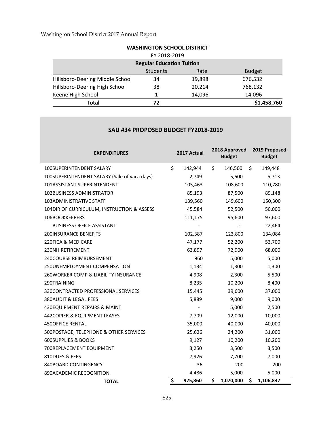| Total                             | 72              |        | \$1,458,760   |  |
|-----------------------------------|-----------------|--------|---------------|--|
| Keene High School                 | 1               | 14,096 | 14,096        |  |
| Hillsboro-Deering High School     | 38              | 20,214 | 768,132       |  |
| Hillsboro-Deering Middle School   | 34              | 19,898 | 676,532       |  |
|                                   | <b>Students</b> | Rate   | <b>Budget</b> |  |
| <b>Regular Education Tuition</b>  |                 |        |               |  |
|                                   | FY 2018-2019    |        |               |  |
| <b>WASHINGTON SCHOOL DISTRICT</b> |                 |        |               |  |

#### **SAU #34 PROPOSED BUDGET FY2018‐2019**

| <b>EXPENDITURES</b>                             | 2017 Actual   | 2018 Approved<br><b>Budget</b> | 2019 Proposed<br><b>Budget</b> |
|-------------------------------------------------|---------------|--------------------------------|--------------------------------|
| <b>100SUPERINTENDENT SALARY</b>                 | \$<br>142,944 | \$<br>146,500                  | \$<br>149,448                  |
| 100SUPERINTENDENT SALARY (Sale of vaca days)    | 2,749         | 5,600                          | 5,713                          |
| 101ASSISTANT SUPERINTENDENT                     | 105,463       | 108,600                        | 110,780                        |
| 102BUSINESS ADMINISTRATOR                       | 85,193        | 87,500                         | 89,148                         |
| <b>103ADMINISTRATIVE STAFF</b>                  | 139,560       | 149,600                        | 150,300                        |
| 104DIR OF CURRICULUM, INSTRUCTION & ASSESS      | 45,584        | 52,500                         | 50,000                         |
| 106BOOKKEEPERS                                  | 111,175       | 95,600                         | 97,600                         |
| <b>BUSINESS OFFICE ASSISTANT</b>                |               |                                | 22,464                         |
| <b>200INSURANCE BENEFITS</b>                    | 102,387       | 123,800                        | 134,084                        |
| 220FICA & MEDICARE                              | 47,177        | 52,200                         | 53,700                         |
| <b>230NH RETIREMENT</b>                         | 63,897        | 72,900                         | 68,000                         |
| 240COURSE REIMBURSEMENT                         | 960           | 5,000                          | 5,000                          |
| 250UNEMPLOYMENT COMPENSATION                    | 1,134         | 1,300                          | 1,300                          |
| <b>260WORKER COMP &amp; LIABILITY INSURANCE</b> | 4,908         | 2,300                          | 5,500                          |
| 290TRAINING                                     | 8,235         | 10,200                         | 8,400                          |
| 330CONTRACTED PROFESSIONAL SERVICES             | 15,445        | 39,600                         | 37,000                         |
| 380AUDIT & LEGAL FEES                           | 5,889         | 9,000                          | 9,000                          |
| 430EQUIPMENT REPAIRS & MAINT                    |               | 5,000                          | 2,500                          |
| 442COPIER & EQUIPMENT LEASES                    | 7,709         | 12,000                         | 10,000                         |
| <b>450OFFICE RENTAL</b>                         | 35,000        | 40,000                         | 40,000                         |
| 500POSTAGE, TELEPHONE & OTHER SERVICES          | 25,626        | 24,200                         | 31,000                         |
| <b>600SUPPLIES &amp; BOOKS</b>                  | 9,127         | 10,200                         | 10,200                         |
| 700REPLACEMENT EQUIPMENT                        | 3,250         | 3,500                          | 3,500                          |
| 810DUES & FEES                                  | 7,926         | 7,700                          | 7,000                          |
| 840BOARD CONTINGENCY                            | 36            | 200                            | 200                            |
| 890ACADEMIC RECOGNITION                         | 4,486         | 5,000                          | 5,000                          |
| <b>TOTAL</b>                                    | \$<br>975,860 | \$<br>1,070,000                | \$<br>1,106,837                |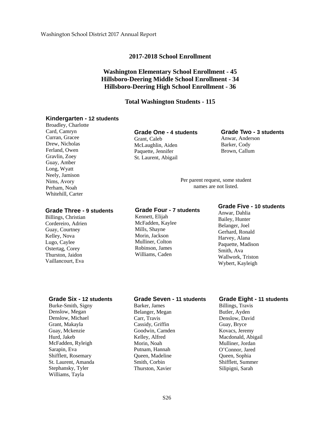#### **2017-2018 School Enrollment**

# **Washington Elementary School Enrollment - 45 Hillsboro-Deering Middle School Enrollment - 34 Hillsboro-Deering High School Enrollment - 36**

#### **Total Washington Students - 115**

#### **Kindergarten - 12 students**

Broadley, Charlotte Card, Camryn Curran, Gracee Drew, Nicholas Ferland, Owen Gravlin, Zoey Guay, Amber Long, Wyatt Neely, Jamison Nims, Avory Perham, Noah Whitehill, Carter

#### **Grade Three - 9 students**

Billings, Christian Cordereiro, Adrien Guay, Courtney Kelley, Nova Lugo, Caylee Ostertag, Corey Thurston, Jaidon Vaillancourt, Eva

## **Grade One - 4 students**

Grant, Caleb McLaughlin, Aiden Paquette, Jennifer St. Laurent, Abigail

# **Grade Two - 3 students**

Anwar, Anderson Barker, Cody Brown, Callum

Per parent request, some student names are not listed.

#### **Grade Four - 7 students**

Kennett, Elijah McFadden, Kaylee Mills, Shayne Morin, Jackson Mulliner, Colton Robinson, James Williams, Caden

### **Grade Five - 10 students**

Anwar, Dahlia Bailey, Hunter Belanger, Joel Gerhard, Ronald Harvey, Alana Paquette, Madison Smith, Ava Wallwork, Triston Wybert, Kayleigh

#### **Grade Six - 12 students**

Burke-Smith, Signy Denslow, Megan Denslow, Michael Grant, Makayla Guay, Mckenzie Hurd, Jakeb McFadden, Ryleigh Sarapin, Eva Shifflett, Rosemary St. Laurent, Amanda Stephansky, Tyler Williams, Tayla

#### **Grade Seven - 11 students**

Barker, James Belanger, Megan Carr, Travis Cassidy, Griffin Goodwin, Camden Kelley, Alfred Morin, Noah Putnam, Hannah Queen, Madeline Smith, Corbin Thurston, Xavier

#### **Grade Eight - 11 students**

Billings, Travis Butler, Ayden Denslow, David Guay, Bryce Kovacs, Jeremy Macdonald, Abigail Mulliner, Jordan O'Connor, Jared Queen, Sophia Shifflett, Summer Silipigni, Sarah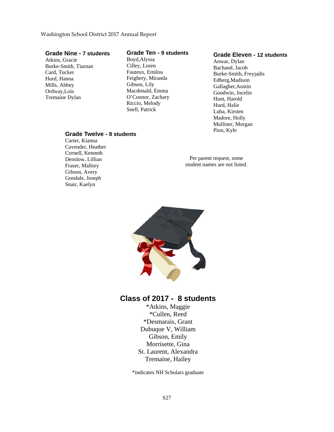**Grade Twelve - 8 students**

Carter, Kianna Cavender, Heather Cornell, Kenneth Denslow, Lillian Fraser, Mallory Gibson, Avery Goodale, Joseph Snair, Kaelyn

#### **Grade Nine - 7 students**

Atkins, Gracie Burke-Smith, Tiarnan Card, Tucker Hurd, Hanna Mills, Abbey Ordway,Lois Tremaine Dylan

#### **Grade Ten - 9 students**

Boyd,Alyssa Cilley, Loren Fauteux, Emilou Feighery, Miranda Gibson, Lily Macdonald, Emma O'Connor, Zachary Riccio, Melody Snell, Patrick

#### **Grade Eleven - 12 students**

Anwar, Dylan Bachand, Jacob Burke-Smith, Freyjadis Edberg,Madison Gallagher,Austin Goodwin, Jocelin Hunt, Harold Hurd, Halie Luba, Kirsten Madore, Holly Mulliner, Morgan Pion, Kyle

Per parent request, some student names are not listed.



# **Class of 2017 - 8 students**

\*Atkins, Maggie \*Cullen, Reed \*Desmarais, Grant Dubuque V, William Gibson, Emily Morrisette, Gina St. Laurent, Alexandra Tremaine, Hailey

\*indicates NH Scholars graduate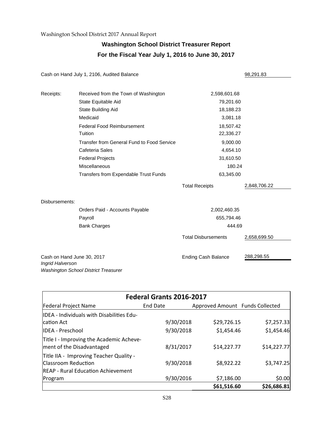# **Washington School District Treasurer Report For the Fiscal Year July 1, 2016 to June 30, 2017**

|                                                | Cash on Hand July 1, 2106, Audited Balance   |                            | 98,291.83    |
|------------------------------------------------|----------------------------------------------|----------------------------|--------------|
| Receipts:                                      | Received from the Town of Washington         | 2,598,601.68               |              |
|                                                | State Equitable Aid                          | 79,201.60                  |              |
|                                                | State Building Aid                           | 18,188.23                  |              |
|                                                | Medicaid                                     | 3,081.18                   |              |
|                                                | <b>Federal Food Reimbursement</b>            | 18,507.42                  |              |
|                                                | Tuition                                      | 22,336.27                  |              |
|                                                | Transfer from General Fund to Food Service   | 9,000.00                   |              |
|                                                | Cafeteria Sales                              | 4,654.10                   |              |
|                                                | <b>Federal Projects</b>                      | 31,610.50                  |              |
|                                                | <b>Miscellaneous</b>                         | 180.24                     |              |
|                                                | <b>Transfers from Expendable Trust Funds</b> | 63,345.00                  |              |
|                                                |                                              | <b>Total Receipts</b>      | 2,848,706.22 |
| Disbursements:                                 |                                              |                            |              |
|                                                | Orders Paid - Accounts Payable               | 2,002,460.35               |              |
|                                                | Payroll                                      | 655,794.46                 |              |
|                                                | <b>Bank Charges</b>                          | 444.69                     |              |
|                                                |                                              | <b>Total Disbursements</b> | 2,658,699.50 |
| Cash on Hand June 30, 2017<br>Ingrid Halverson | Washington School District Treasurer         | <b>Ending Cash Balance</b> | 288,298.55   |

| Federal Grants 2016-2017                                                                                    |           |                                 |             |  |  |  |  |
|-------------------------------------------------------------------------------------------------------------|-----------|---------------------------------|-------------|--|--|--|--|
| <b>Federal Project Name</b>                                                                                 | End Date  | Approved Amount Funds Collected |             |  |  |  |  |
| IDEA - Individuals with Disabilities Edu-                                                                   |           |                                 |             |  |  |  |  |
| lcation Act                                                                                                 | 9/30/2018 | \$29,726.15                     | \$7,257.33  |  |  |  |  |
| lIDEA - Preschool                                                                                           | 9/30/2018 | \$1,454.46                      | \$1,454.46  |  |  |  |  |
| Title I - Improving the Academic Acheve-<br>ment of the Disadvantaged                                       | 8/31/2017 | \$14,227.77                     | \$14,227.77 |  |  |  |  |
| Title IIA - Improving Teacher Quality -<br>Classroom Reduction<br><b>REAP - Rural Education Achievement</b> | 9/30/2018 | \$8,922.22                      | \$3,747.25  |  |  |  |  |
| Program                                                                                                     | 9/30/2016 | \$7,186.00                      | \$0.00      |  |  |  |  |
|                                                                                                             |           | \$61,516.60                     | \$26,686.81 |  |  |  |  |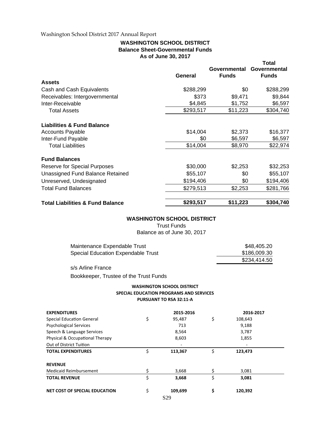#### **WASHINGTON SCHOOL DISTRICT Balance Sheet-Governmental Funds As of June 30, 2017**

|                                             |           |                     | Total        |
|---------------------------------------------|-----------|---------------------|--------------|
|                                             |           | <b>Governmental</b> | Governmental |
|                                             | General   | <b>Funds</b>        | <b>Funds</b> |
| <b>Assets</b>                               |           |                     |              |
| Cash and Cash Equivalents                   | \$288,299 | \$0                 | \$288,299    |
| Receivables: Intergovernmental              | \$373     | \$9,471             | \$9,844      |
| Inter-Receivable                            | \$4,845   | \$1,752             | \$6,597      |
| <b>Total Assets</b>                         | \$293,517 | \$11,223            | \$304,740    |
| <b>Liabilities &amp; Fund Balance</b>       |           |                     |              |
| <b>Accounts Payable</b>                     | \$14,004  | \$2,373             | \$16,377     |
| Inter-Fund Payable                          | \$0       | \$6,597             | \$6,597      |
| <b>Total Liabilities</b>                    | \$14,004  | \$8,970             | \$22,974     |
| <b>Fund Balances</b>                        |           |                     |              |
| <b>Reserve for Special Purposes</b>         | \$30,000  | \$2,253             | \$32,253     |
| Unassigned Fund Balance Retained            | \$55,107  | \$0                 | \$55,107     |
| Unreserved, Undesignated                    | \$194,406 | \$0                 | \$194,406    |
| <b>Total Fund Balances</b>                  | \$279,513 | \$2,253             | \$281,766    |
| <b>Total Liabilities &amp; Fund Balance</b> | \$293,517 | \$11,223            | \$304,740    |

#### **WASHINGTON SCHOOL DISTRICT**

Trust Funds

Balance as of June 30, 2017

| Maintenance Expendable Trust       | \$48.405.20  |
|------------------------------------|--------------|
| Special Education Expendable Trust | \$186,009.30 |
|                                    | \$234.414.50 |

s/s Arline France

Bookkeeper, Trustee of the Trust Funds

#### **WASHINGTON SCHOOL DISTRICT SPECIAL EDUCATION PROGRAMS AND SERVICES PURSUANT TO RSA 32:11‐A**

| <b>EXPENDITURES</b>              | 2015-2016     | 2016-2017     |  |
|----------------------------------|---------------|---------------|--|
| <b>Special Education General</b> | \$<br>95,487  | \$<br>108,643 |  |
| <b>Psychological Services</b>    | 713           | 9,188         |  |
| Speech & Language Services       | 8,564         | 3,787         |  |
| Physical & Occupational Therapy  | 8,603         | 1,855         |  |
| Out of District Tuition          |               |               |  |
| <b>TOTAL EXPENDITURES</b>        | \$<br>113,367 | \$<br>123,473 |  |
| <b>REVENUE</b>                   |               |               |  |
| <b>Medicaid Reimbursement</b>    | \$<br>3,668   | \$<br>3,081   |  |
| <b>TOTAL REVENUE</b>             | \$<br>3,668   | \$<br>3,081   |  |
| NET COST OF SPECIAL EDUCATION    | \$<br>109,699 | \$<br>120,392 |  |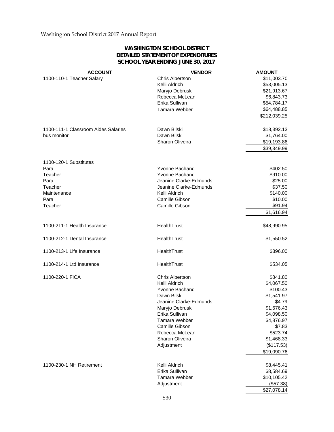## **WASHINGTON SCHOOL DISTRICT DETAILED STATEMENT OF EXPENDITURES SCHOOL YEAR ENDING JUNE 30, 2017**

| Chris Albertson<br>\$11,003.70<br>1100-110-1 Teacher Salary<br>Kelli Aldrich<br>\$53,005.13<br>\$21,913.67<br>Maryjo Debrusk<br>Rebecca McLean<br>\$6,843.73<br>Erika Sullivan<br>\$54,784.17<br>Tamara Webber<br>\$64,488.85<br>\$212,039.25<br>1100-111-1 Classroom Aides Salaries<br>Dawn Bilski<br>\$18,392.13<br>bus monitor<br>Dawn Bilski<br>\$1,764.00<br>\$19,193.86<br>Sharon Oliveira<br>\$39,349.99<br>1100-120-1 Substitutes<br>Para<br>Yvonne Bachand<br>\$402.50<br>Teacher<br>Yvonne Bachand<br>\$910.00<br>Jeanine Clarke-Edmunds<br>\$25.00<br>Para<br>Teacher<br>Jeanine Clarke-Edmunds<br>\$37.50<br>Maintenance<br>Kelli Aldrich<br>\$140.00<br>Camille Gibson<br>\$10.00<br>Para<br>\$91.94<br>Teacher<br>Camille Gibson<br>\$1,616.94<br>HealthTrust<br>1100-211-1 Health Insurance<br>\$48,990.95<br>1100-212-1 Dental Insurance<br>HealthTrust<br>\$1,550.52<br>1100-213-1 Life Insurance<br><b>HealthTrust</b><br>\$396.00<br>1100-214-1 Ltd Insurance<br>HealthTrust<br>\$534.05<br>1100-220-1 FICA<br><b>Chris Albertson</b><br>\$841.80<br>Kelli Aldrich<br>\$4,067.50<br>Yvonne Bachand<br>\$100.43<br>Dawn Bilski<br>\$1,541.97<br>Jeanine Clarke-Edmunds<br>\$4.79<br>Maryjo Debrusk<br>\$1,676.43<br>Erika Sullivan<br>\$4,098.50<br>Tamara Webber<br>\$4,876.97<br>Camille Gibson<br>\$7.83<br>\$523.74<br>Rebecca McLean<br>Sharon Oliveira<br>\$1,468.33<br>Adjustment<br>(\$117.53)<br>\$19,090.76<br>Kelli Aldrich<br>1100-230-1 NH Retirement<br>\$8,445.41<br>Erika Sullivan<br>\$8,584.69<br>Tamara Webber<br>\$10,105.42<br>(\$57.38)<br>Adjustment<br>\$27,078.14 | <b>ACCOUNT</b> | <b>VENDOR</b> | <b>AMOUNT</b> |
|--------------------------------------------------------------------------------------------------------------------------------------------------------------------------------------------------------------------------------------------------------------------------------------------------------------------------------------------------------------------------------------------------------------------------------------------------------------------------------------------------------------------------------------------------------------------------------------------------------------------------------------------------------------------------------------------------------------------------------------------------------------------------------------------------------------------------------------------------------------------------------------------------------------------------------------------------------------------------------------------------------------------------------------------------------------------------------------------------------------------------------------------------------------------------------------------------------------------------------------------------------------------------------------------------------------------------------------------------------------------------------------------------------------------------------------------------------------------------------------------------------------------------------------------------------------------------------------------------------------|----------------|---------------|---------------|
|                                                                                                                                                                                                                                                                                                                                                                                                                                                                                                                                                                                                                                                                                                                                                                                                                                                                                                                                                                                                                                                                                                                                                                                                                                                                                                                                                                                                                                                                                                                                                                                                              |                |               |               |
|                                                                                                                                                                                                                                                                                                                                                                                                                                                                                                                                                                                                                                                                                                                                                                                                                                                                                                                                                                                                                                                                                                                                                                                                                                                                                                                                                                                                                                                                                                                                                                                                              |                |               |               |
|                                                                                                                                                                                                                                                                                                                                                                                                                                                                                                                                                                                                                                                                                                                                                                                                                                                                                                                                                                                                                                                                                                                                                                                                                                                                                                                                                                                                                                                                                                                                                                                                              |                |               |               |
|                                                                                                                                                                                                                                                                                                                                                                                                                                                                                                                                                                                                                                                                                                                                                                                                                                                                                                                                                                                                                                                                                                                                                                                                                                                                                                                                                                                                                                                                                                                                                                                                              |                |               |               |
|                                                                                                                                                                                                                                                                                                                                                                                                                                                                                                                                                                                                                                                                                                                                                                                                                                                                                                                                                                                                                                                                                                                                                                                                                                                                                                                                                                                                                                                                                                                                                                                                              |                |               |               |
|                                                                                                                                                                                                                                                                                                                                                                                                                                                                                                                                                                                                                                                                                                                                                                                                                                                                                                                                                                                                                                                                                                                                                                                                                                                                                                                                                                                                                                                                                                                                                                                                              |                |               |               |
|                                                                                                                                                                                                                                                                                                                                                                                                                                                                                                                                                                                                                                                                                                                                                                                                                                                                                                                                                                                                                                                                                                                                                                                                                                                                                                                                                                                                                                                                                                                                                                                                              |                |               |               |
|                                                                                                                                                                                                                                                                                                                                                                                                                                                                                                                                                                                                                                                                                                                                                                                                                                                                                                                                                                                                                                                                                                                                                                                                                                                                                                                                                                                                                                                                                                                                                                                                              |                |               |               |
|                                                                                                                                                                                                                                                                                                                                                                                                                                                                                                                                                                                                                                                                                                                                                                                                                                                                                                                                                                                                                                                                                                                                                                                                                                                                                                                                                                                                                                                                                                                                                                                                              |                |               |               |
|                                                                                                                                                                                                                                                                                                                                                                                                                                                                                                                                                                                                                                                                                                                                                                                                                                                                                                                                                                                                                                                                                                                                                                                                                                                                                                                                                                                                                                                                                                                                                                                                              |                |               |               |
|                                                                                                                                                                                                                                                                                                                                                                                                                                                                                                                                                                                                                                                                                                                                                                                                                                                                                                                                                                                                                                                                                                                                                                                                                                                                                                                                                                                                                                                                                                                                                                                                              |                |               |               |
|                                                                                                                                                                                                                                                                                                                                                                                                                                                                                                                                                                                                                                                                                                                                                                                                                                                                                                                                                                                                                                                                                                                                                                                                                                                                                                                                                                                                                                                                                                                                                                                                              |                |               |               |
|                                                                                                                                                                                                                                                                                                                                                                                                                                                                                                                                                                                                                                                                                                                                                                                                                                                                                                                                                                                                                                                                                                                                                                                                                                                                                                                                                                                                                                                                                                                                                                                                              |                |               |               |
|                                                                                                                                                                                                                                                                                                                                                                                                                                                                                                                                                                                                                                                                                                                                                                                                                                                                                                                                                                                                                                                                                                                                                                                                                                                                                                                                                                                                                                                                                                                                                                                                              |                |               |               |
|                                                                                                                                                                                                                                                                                                                                                                                                                                                                                                                                                                                                                                                                                                                                                                                                                                                                                                                                                                                                                                                                                                                                                                                                                                                                                                                                                                                                                                                                                                                                                                                                              |                |               |               |
|                                                                                                                                                                                                                                                                                                                                                                                                                                                                                                                                                                                                                                                                                                                                                                                                                                                                                                                                                                                                                                                                                                                                                                                                                                                                                                                                                                                                                                                                                                                                                                                                              |                |               |               |
|                                                                                                                                                                                                                                                                                                                                                                                                                                                                                                                                                                                                                                                                                                                                                                                                                                                                                                                                                                                                                                                                                                                                                                                                                                                                                                                                                                                                                                                                                                                                                                                                              |                |               |               |
|                                                                                                                                                                                                                                                                                                                                                                                                                                                                                                                                                                                                                                                                                                                                                                                                                                                                                                                                                                                                                                                                                                                                                                                                                                                                                                                                                                                                                                                                                                                                                                                                              |                |               |               |
|                                                                                                                                                                                                                                                                                                                                                                                                                                                                                                                                                                                                                                                                                                                                                                                                                                                                                                                                                                                                                                                                                                                                                                                                                                                                                                                                                                                                                                                                                                                                                                                                              |                |               |               |
|                                                                                                                                                                                                                                                                                                                                                                                                                                                                                                                                                                                                                                                                                                                                                                                                                                                                                                                                                                                                                                                                                                                                                                                                                                                                                                                                                                                                                                                                                                                                                                                                              |                |               |               |
|                                                                                                                                                                                                                                                                                                                                                                                                                                                                                                                                                                                                                                                                                                                                                                                                                                                                                                                                                                                                                                                                                                                                                                                                                                                                                                                                                                                                                                                                                                                                                                                                              |                |               |               |
|                                                                                                                                                                                                                                                                                                                                                                                                                                                                                                                                                                                                                                                                                                                                                                                                                                                                                                                                                                                                                                                                                                                                                                                                                                                                                                                                                                                                                                                                                                                                                                                                              |                |               |               |
|                                                                                                                                                                                                                                                                                                                                                                                                                                                                                                                                                                                                                                                                                                                                                                                                                                                                                                                                                                                                                                                                                                                                                                                                                                                                                                                                                                                                                                                                                                                                                                                                              |                |               |               |
|                                                                                                                                                                                                                                                                                                                                                                                                                                                                                                                                                                                                                                                                                                                                                                                                                                                                                                                                                                                                                                                                                                                                                                                                                                                                                                                                                                                                                                                                                                                                                                                                              |                |               |               |
|                                                                                                                                                                                                                                                                                                                                                                                                                                                                                                                                                                                                                                                                                                                                                                                                                                                                                                                                                                                                                                                                                                                                                                                                                                                                                                                                                                                                                                                                                                                                                                                                              |                |               |               |
|                                                                                                                                                                                                                                                                                                                                                                                                                                                                                                                                                                                                                                                                                                                                                                                                                                                                                                                                                                                                                                                                                                                                                                                                                                                                                                                                                                                                                                                                                                                                                                                                              |                |               |               |
|                                                                                                                                                                                                                                                                                                                                                                                                                                                                                                                                                                                                                                                                                                                                                                                                                                                                                                                                                                                                                                                                                                                                                                                                                                                                                                                                                                                                                                                                                                                                                                                                              |                |               |               |
|                                                                                                                                                                                                                                                                                                                                                                                                                                                                                                                                                                                                                                                                                                                                                                                                                                                                                                                                                                                                                                                                                                                                                                                                                                                                                                                                                                                                                                                                                                                                                                                                              |                |               |               |
|                                                                                                                                                                                                                                                                                                                                                                                                                                                                                                                                                                                                                                                                                                                                                                                                                                                                                                                                                                                                                                                                                                                                                                                                                                                                                                                                                                                                                                                                                                                                                                                                              |                |               |               |
|                                                                                                                                                                                                                                                                                                                                                                                                                                                                                                                                                                                                                                                                                                                                                                                                                                                                                                                                                                                                                                                                                                                                                                                                                                                                                                                                                                                                                                                                                                                                                                                                              |                |               |               |
|                                                                                                                                                                                                                                                                                                                                                                                                                                                                                                                                                                                                                                                                                                                                                                                                                                                                                                                                                                                                                                                                                                                                                                                                                                                                                                                                                                                                                                                                                                                                                                                                              |                |               |               |
|                                                                                                                                                                                                                                                                                                                                                                                                                                                                                                                                                                                                                                                                                                                                                                                                                                                                                                                                                                                                                                                                                                                                                                                                                                                                                                                                                                                                                                                                                                                                                                                                              |                |               |               |
|                                                                                                                                                                                                                                                                                                                                                                                                                                                                                                                                                                                                                                                                                                                                                                                                                                                                                                                                                                                                                                                                                                                                                                                                                                                                                                                                                                                                                                                                                                                                                                                                              |                |               |               |
|                                                                                                                                                                                                                                                                                                                                                                                                                                                                                                                                                                                                                                                                                                                                                                                                                                                                                                                                                                                                                                                                                                                                                                                                                                                                                                                                                                                                                                                                                                                                                                                                              |                |               |               |
|                                                                                                                                                                                                                                                                                                                                                                                                                                                                                                                                                                                                                                                                                                                                                                                                                                                                                                                                                                                                                                                                                                                                                                                                                                                                                                                                                                                                                                                                                                                                                                                                              |                |               |               |
|                                                                                                                                                                                                                                                                                                                                                                                                                                                                                                                                                                                                                                                                                                                                                                                                                                                                                                                                                                                                                                                                                                                                                                                                                                                                                                                                                                                                                                                                                                                                                                                                              |                |               |               |
|                                                                                                                                                                                                                                                                                                                                                                                                                                                                                                                                                                                                                                                                                                                                                                                                                                                                                                                                                                                                                                                                                                                                                                                                                                                                                                                                                                                                                                                                                                                                                                                                              |                |               |               |
|                                                                                                                                                                                                                                                                                                                                                                                                                                                                                                                                                                                                                                                                                                                                                                                                                                                                                                                                                                                                                                                                                                                                                                                                                                                                                                                                                                                                                                                                                                                                                                                                              |                |               |               |
|                                                                                                                                                                                                                                                                                                                                                                                                                                                                                                                                                                                                                                                                                                                                                                                                                                                                                                                                                                                                                                                                                                                                                                                                                                                                                                                                                                                                                                                                                                                                                                                                              |                |               |               |
|                                                                                                                                                                                                                                                                                                                                                                                                                                                                                                                                                                                                                                                                                                                                                                                                                                                                                                                                                                                                                                                                                                                                                                                                                                                                                                                                                                                                                                                                                                                                                                                                              |                |               |               |
|                                                                                                                                                                                                                                                                                                                                                                                                                                                                                                                                                                                                                                                                                                                                                                                                                                                                                                                                                                                                                                                                                                                                                                                                                                                                                                                                                                                                                                                                                                                                                                                                              |                |               |               |
|                                                                                                                                                                                                                                                                                                                                                                                                                                                                                                                                                                                                                                                                                                                                                                                                                                                                                                                                                                                                                                                                                                                                                                                                                                                                                                                                                                                                                                                                                                                                                                                                              |                |               |               |
|                                                                                                                                                                                                                                                                                                                                                                                                                                                                                                                                                                                                                                                                                                                                                                                                                                                                                                                                                                                                                                                                                                                                                                                                                                                                                                                                                                                                                                                                                                                                                                                                              |                |               |               |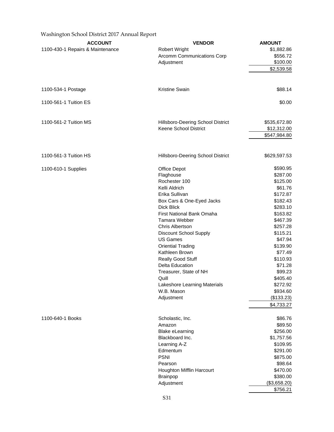| Washington School District 2017 Annual Report |                                           |                     |
|-----------------------------------------------|-------------------------------------------|---------------------|
| <b>ACCOUNT</b>                                | <b>VENDOR</b>                             | <b>AMOUNT</b>       |
| 1100-430-1 Repairs & Maintenance              | <b>Robert Wright</b>                      | \$1,882.86          |
|                                               | Arcomm Communications Corp                | \$556.72            |
|                                               | Adjustment                                | \$100.00            |
|                                               |                                           | \$2,539.58          |
|                                               |                                           |                     |
| 1100-534-1 Postage                            | <b>Kristine Swain</b>                     | \$88.14             |
|                                               |                                           |                     |
| 1100-561-1 Tuition ES                         |                                           | \$0.00              |
| 1100-561-2 Tuition MS                         | Hillsboro-Deering School District         | \$535,672.80        |
|                                               | Keene School District                     | \$12,312.00         |
|                                               |                                           | \$547,984.80        |
|                                               |                                           |                     |
| 1100-561-3 Tuition HS                         | Hillsboro-Deering School District         | \$629,597.53        |
| 1100-610-1 Supplies                           | <b>Office Depot</b>                       | \$590.95            |
|                                               | Flaghouse                                 | \$287.00            |
|                                               | Rochester 100                             | \$125.00            |
|                                               | Kelli Aldrich                             | \$61.76             |
|                                               | Erika Sullivan                            | \$172.87            |
|                                               | Box Cars & One-Eyed Jacks                 | \$182.43            |
|                                               | <b>Dick Blick</b>                         | \$283.10            |
|                                               | First National Bank Omaha                 | \$163.82            |
|                                               | Tamara Webber                             | \$467.39            |
|                                               | Chris Albertson                           | \$257.28            |
|                                               | Discount School Supply<br><b>US Games</b> | \$115.21<br>\$47.94 |
|                                               | <b>Oriential Trading</b>                  | \$139.90            |
|                                               | Kathleen Brown                            | \$77.49             |
|                                               | <b>Really Good Stuff</b>                  | \$110.93            |
|                                               | Delta Education                           | \$71.28             |
|                                               | Treasurer, State of NH                    | \$99.23             |
|                                               | Quill                                     | \$405.40            |
|                                               | Lakeshore Learning Materials              | \$272.92            |
|                                               | W.B. Mason                                | \$934.60            |
|                                               | Adjustment                                | (\$133.23)          |
|                                               |                                           | \$4,733.27          |
| 1100-640-1 Books                              | Scholastic, Inc.                          | \$86.76             |
|                                               | Amazon                                    | \$89.50             |
|                                               | <b>Blake eLearning</b>                    | \$256.00            |
|                                               | Blackboard Inc.                           | \$1,757.56          |
|                                               | Learning A-Z                              | \$109.95            |
|                                               | Edmentum                                  | \$291.00            |
|                                               | <b>PSNI</b>                               | \$875.00            |
|                                               | Pearson                                   | \$98.64             |
|                                               | Houghton Mifflin Harcourt                 | \$470.00            |
|                                               | Brainpop                                  | \$380.00            |
|                                               | Adjustment                                | (\$3,658.20)        |
|                                               |                                           | \$756.21            |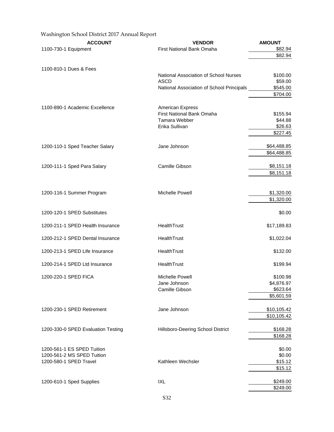| Washington School District 2017 Annual Report |                                                          |                        |
|-----------------------------------------------|----------------------------------------------------------|------------------------|
| <b>ACCOUNT</b>                                | <b>VENDOR</b>                                            | <b>AMOUNT</b>          |
| 1100-730-1 Equipment                          | First National Bank Omaha                                | \$82.94                |
|                                               |                                                          | \$82.94                |
| 1100-810-1 Dues & Fees                        |                                                          |                        |
|                                               | National Association of School Nurses                    | \$100.00               |
|                                               | <b>ASCD</b><br>National Association of School Principals | \$59.00<br>\$545.00    |
|                                               |                                                          | \$704.00               |
| 1100-890-1 Academic Excellence                | <b>American Express</b>                                  |                        |
|                                               | First National Bank Omaha                                | \$155.94               |
|                                               | Tamara Webber                                            | \$44.88                |
|                                               | Erika Sullivan                                           | \$26.63                |
|                                               |                                                          | \$227.45               |
| 1200-110-1 Sped Teacher Salary                | Jane Johnson                                             | \$64,488.85            |
|                                               |                                                          | \$64,488.85            |
| 1200-111-1 Sped Para Salary                   | Camille Gibson                                           | \$8,151.18             |
|                                               |                                                          | \$8,151.18             |
|                                               |                                                          |                        |
| 1200-116-1 Summer Program                     | Michelle Powell                                          | \$1,320.00             |
|                                               |                                                          | \$1,320.00             |
| 1200-120-1 SPED Substitutes                   |                                                          | \$0.00                 |
| 1200-211-1 SPED Health Insurance              | HealthTrust                                              | \$17,189.83            |
| 1200-212-1 SPED Dental Insurance              | HealthTrust                                              | \$1,022.04             |
| 1200-213-1 SPED Life Insurance                | HealthTrust                                              | \$132.00               |
| 1200-214-1 SPED Ltd Insurance                 | HealthTrust                                              | \$199.94               |
| 1200-220-1 SPED FICA                          | Michelle Powell                                          | \$100.98               |
|                                               | Jane Johnson                                             | \$4,876.97             |
|                                               | Camille Gibson                                           | \$623.64<br>\$5,601.59 |
|                                               |                                                          |                        |
| 1200-230-1 SPED Retirement                    | Jane Johnson                                             | \$10,105.42            |
|                                               |                                                          | \$10,105.42            |
| 1200-330-0 SPED Evaluation Testing            | Hillsboro-Deering School District                        | \$168.28               |
|                                               |                                                          | \$168.28               |
| 1200-561-1 ES SPED Tuition                    |                                                          | \$0.00                 |
| 1200-561-2 MS SPED Tuition                    |                                                          | \$0.00                 |
| 1200-580-1 SPED Travel                        | Kathleen Wechsler                                        | \$15.12                |
|                                               |                                                          | \$15.12                |
| 1200-610-1 Sped Supplies                      | <b>IXL</b>                                               | \$249.00               |
|                                               |                                                          | \$249.00               |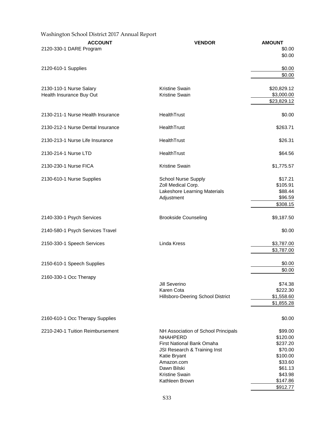| Washington School District 2017 Annual Report |                                                        |                      |
|-----------------------------------------------|--------------------------------------------------------|----------------------|
| <b>ACCOUNT</b>                                | <b>VENDOR</b>                                          | <b>AMOUNT</b>        |
| 2120-330-1 DARE Program                       |                                                        | \$0.00               |
|                                               |                                                        | \$0.00               |
| 2120-610-1 Supplies                           |                                                        | \$0.00               |
|                                               |                                                        | \$0.00               |
| 2130-110-1 Nurse Salary                       | <b>Kristine Swain</b>                                  | \$20,829.12          |
| Health Insurance Buy Out                      | Kristine Swain                                         | \$3,000.00           |
|                                               |                                                        | \$23,829.12          |
| 2130-211-1 Nurse Health Insurance             | HealthTrust                                            | \$0.00               |
| 2130-212-1 Nurse Dental Insurance             | HealthTrust                                            | \$263.71             |
| 2130-213-1 Nurse Life Insurance               | HealthTrust                                            | \$26.31              |
| 2130-214-1 Nurse LTD                          | HealthTrust                                            | \$64.56              |
| 2130-230-1 Nurse FICA                         | Kristine Swain                                         | \$1,775.57           |
| 2130-610-1 Nurse Supplies                     | <b>School Nurse Supply</b>                             | \$17.21              |
|                                               | Zoll Medical Corp.                                     | \$105.91             |
|                                               | Lakeshore Learning Materials                           | \$88.44              |
|                                               | Adjustment                                             | \$96.59              |
|                                               |                                                        | \$308.15             |
| 2140-330-1 Psych Services                     | <b>Brookside Counseling</b>                            | \$9,187.50           |
| 2140-580-1 Psych Services Travel              |                                                        | \$0.00               |
| 2150-330-1 Speech Services                    | Linda Kress                                            | \$3,787.00           |
|                                               |                                                        | \$3,787.00           |
| 2150-610-1 Speech Supplies                    |                                                        | \$0.00               |
|                                               |                                                        | \$0.00               |
| 2160-330-1 Occ Therapy                        | Jill Severino                                          | \$74.38              |
|                                               | Karen Cota                                             | \$222.30             |
|                                               | Hillsboro-Deering School District                      | \$1,558.60           |
|                                               |                                                        | \$1,855.28           |
| 2160-610-1 Occ Therapy Supplies               |                                                        | \$0.00               |
| 2210-240-1 Tuition Reimbursement              |                                                        |                      |
|                                               | NH Association of School Principals<br><b>NHAHPERD</b> | \$99.00<br>\$120.00  |
|                                               | First National Bank Omaha                              | \$237.20             |
|                                               | JSI Research & Training Inst                           | \$70.00              |
|                                               | Katie Bryant                                           | \$100.00             |
|                                               | Amazon.com                                             | \$33.60              |
|                                               | Dawn Bilski                                            | \$61.13              |
|                                               | Kristine Swain                                         | \$43.98              |
|                                               | Kathleen Brown                                         | \$147.86<br>\$912.77 |
|                                               |                                                        |                      |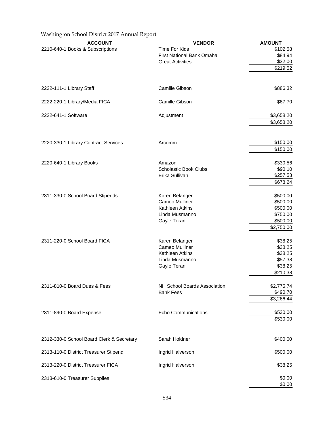| Washington School District 2017 Annual Report |                                                  |                        |
|-----------------------------------------------|--------------------------------------------------|------------------------|
| <b>ACCOUNT</b>                                | <b>VENDOR</b>                                    | <b>AMOUNT</b>          |
| 2210-640-1 Books & Subscriptions              | <b>Time For Kids</b>                             | \$102.58               |
|                                               | First National Bank Omaha                        | \$84.94                |
|                                               | <b>Great Activities</b>                          | \$32.00                |
|                                               |                                                  | \$219.52               |
| 2222-111-1 Library Staff                      | Camille Gibson                                   | \$886.32               |
|                                               |                                                  |                        |
| 2222-220-1 Library/Media FICA                 | Camille Gibson                                   | \$67.70                |
| 2222-641-1 Software                           | Adjustment                                       | \$3,658.20             |
|                                               |                                                  | \$3,658.20             |
| 2220-330-1 Library Contract Services          | Arcomm                                           | \$150.00               |
|                                               |                                                  | \$150.00               |
| 2220-640-1 Library Books                      | Amazon                                           | \$330.56               |
|                                               | <b>Scholastic Book Clubs</b>                     | \$90.10                |
|                                               | Erika Sullivan                                   | \$257.58               |
|                                               |                                                  | \$678.24               |
| 2311-330-0 School Board Stipends              | Karen Belanger                                   | \$500.00               |
|                                               | Cameo Mulliner                                   | \$500.00               |
|                                               | Kathleen Atkins                                  | \$500.00               |
|                                               | Linda Musmanno                                   | \$750.00               |
|                                               | Gayle Terani                                     | \$500.00               |
|                                               |                                                  | \$2,750.00             |
| 2311-220-0 School Board FICA                  | Karen Belanger                                   | \$38.25                |
|                                               | Cameo Mulliner                                   | \$38.25                |
|                                               | Kathleen Atkins                                  | \$38.25                |
|                                               | Linda Musmanno                                   | \$57.38                |
|                                               | Gayle Terani                                     | \$38.25                |
|                                               |                                                  | \$210.38               |
| 2311-810-0 Board Dues & Fees                  | NH School Boards Association<br><b>Bank Fees</b> | \$2,775.74<br>\$490.70 |
|                                               |                                                  | \$3,266.44             |
| 2311-890-0 Board Expense                      | <b>Echo Communications</b>                       | \$530.00               |
|                                               |                                                  | \$530.00               |
| 2312-330-0 School Board Clerk & Secretary     | Sarah Holdner                                    | \$400.00               |
|                                               |                                                  |                        |
| 2313-110-0 District Treasurer Stipend         | Ingrid Halverson                                 | \$500.00               |
| 2313-220-0 District Treasurer FICA            | Ingrid Halverson                                 | \$38.25                |
| 2313-610-0 Treasurer Supplies                 |                                                  | \$0.00                 |
|                                               |                                                  | \$0.00                 |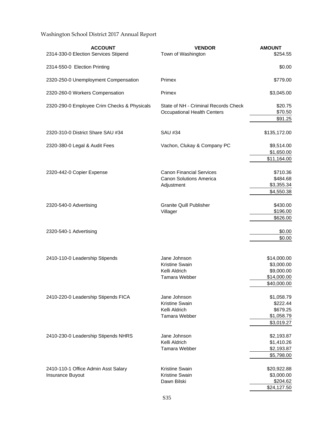| <b>ACCOUNT</b><br>2314-330-0 Election Services Stipend  | <b>VENDOR</b><br>Town of Washington                                             | <b>AMOUNT</b><br>\$254.55                                             |
|---------------------------------------------------------|---------------------------------------------------------------------------------|-----------------------------------------------------------------------|
| 2314-550-0 Election Printing                            |                                                                                 | \$0.00                                                                |
| 2320-250-0 Unemployment Compensation                    | Primex                                                                          | \$779.00                                                              |
| 2320-260-0 Workers Compensation                         | Primex                                                                          | \$3,045.00                                                            |
| 2320-290-0 Employee Crim Checks & Physicals             | State of NH - Criminal Records Check<br><b>Occupational Health Centers</b>      | \$20.75<br>\$70.50<br>\$91.25                                         |
| 2320-310-0 District Share SAU #34                       | <b>SAU #34</b>                                                                  | \$135,172.00                                                          |
| 2320-380-0 Legal & Audit Fees                           | Vachon, Clukay & Company PC                                                     | \$9,514.00<br>\$1,650.00<br>\$11,164.00                               |
| 2320-442-0 Copier Expense                               | <b>Canon Financial Services</b><br><b>Canon Solutions America</b><br>Adjustment | \$710.36<br>\$484.68<br>\$3,355.34<br>\$4,550.38                      |
| 2320-540-0 Advertising                                  | <b>Granite Quill Publisher</b><br>Villager                                      | \$430.00<br>\$196.00<br>\$626.00                                      |
| 2320-540-1 Advertising                                  |                                                                                 | \$0.00<br>\$0.00                                                      |
| 2410-110-0 Leadership Stipends                          | Jane Johnson<br><b>Kristine Swain</b><br>Kelli Aldrich<br>Tamara Webber         | \$14,000.00<br>\$3,000.00<br>\$9,000.00<br>\$14,000.00<br>\$40,000.00 |
| 2410-220-0 Leadership Stipends FICA                     | Jane Johnson<br>Kristine Swain<br>Kelli Aldrich<br>Tamara Webber                | \$1,058.79<br>\$222.44<br>\$679.25<br>\$1,058.79<br>\$3,019.27        |
| 2410-230-0 Leadership Stipends NHRS                     | Jane Johnson<br>Kelli Aldrich<br>Tamara Webber                                  | \$2,193.87<br>\$1,410.26<br>\$2,193.87<br>\$5,798.00                  |
| 2410-110-1 Office Admin Asst Salary<br>Insurance Buyout | Kristine Swain<br>Kristine Swain<br>Dawn Bilski                                 | \$20,922.88<br>\$3,000.00<br>\$204.62<br>\$24,127.50                  |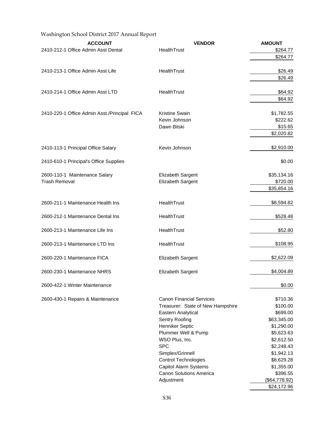| <b>ACCOUNT</b>                               | <b>VENDOR</b>                     | <b>AMOUNT</b> |
|----------------------------------------------|-----------------------------------|---------------|
| 2410-212-1 Office Admin Asst Dental          | HealthTrust                       | \$264.77      |
|                                              |                                   | \$264.77      |
|                                              |                                   |               |
| 2410-213-1 Office Admin Asst Life            | HealthTrust                       | \$26.49       |
|                                              |                                   | \$26.49       |
| 2410-214-1 Office Admin Asst LTD             | HealthTrust                       | \$64.92       |
|                                              |                                   | \$64.92       |
| 2410-220-1 Office Admin Asst./Principal FICA | <b>Kristine Swain</b>             | \$1,782.55    |
|                                              | Kevin Johnson                     | \$222.62      |
|                                              | Dawn Bilski                       | \$15.65       |
|                                              |                                   | \$2,020.82    |
|                                              |                                   |               |
| 2410-113-1 Principal Office Salary           | Kevin Johnson                     | \$2,910.00    |
| 2410-610-1 Principal's Office Supplies       |                                   | \$0.00        |
| 2600-110-1 Maintenance Salary                | Elizabeth Sargent                 | \$35,134.16   |
| <b>Trash Removal</b>                         | Elizabeth Sargent                 | \$720.00      |
|                                              |                                   | \$35,854.16   |
| 2600-211-1 Maintenance Health Ins            | HealthTrust                       | \$8,594.82    |
| 2600-212-1 Maintenance Dental Ins            | HealthTrust                       | \$528.48      |
| 2600-213-1 Maintenance Life Ins              | HealthTrust                       | \$52.80       |
| 2600-213-1 Maintenance LTD Ins               | HealthTrust                       | \$108.95      |
| 2600-220-1 Maintenance FICA                  | <b>Elizabeth Sargent</b>          | \$2,622.09    |
| 2600-230-1 Maintenance NHRS                  | <b>Elizabeth Sargent</b>          | \$4,004.89    |
| 2600-422-1 Winter Maintenance                |                                   | \$0.00        |
| 2600-430-1 Repairs & Maintenance             | <b>Canon Financial Services</b>   | \$710.36      |
|                                              | Treasurer: State of New Hampshire | \$100.00      |
|                                              | Eastern Analytical                | \$699.00      |
|                                              | Sentry Roofing                    | \$63,345.00   |
|                                              | Henniker Septic                   | \$1,290.00    |
|                                              | Plummer Well & Pump               | \$5,623.63    |
|                                              | WSO Plus, Inc.                    | \$2,612.50    |
|                                              | <b>SPC</b>                        | \$2,248.43    |
|                                              | Simplex/Grinnell                  | \$1,942.13    |
|                                              | <b>Control Technologies</b>       | \$8,629.28    |
|                                              | Capitol Alarm Systems             | \$1,355.00    |
|                                              | <b>Canon Solutions America</b>    | \$396.55      |
|                                              | Adjustment                        | (\$64,778.92) |

\$24,172.96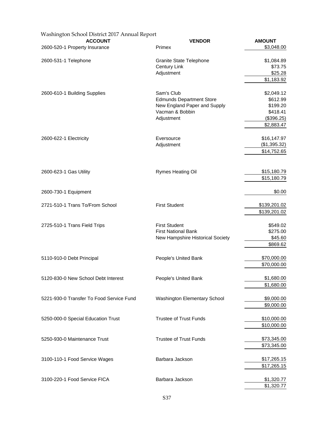| Washington School District 2017 Annual Report |                                  |               |
|-----------------------------------------------|----------------------------------|---------------|
| <b>ACCOUNT</b>                                | <b>VENDOR</b>                    | <b>AMOUNT</b> |
| 2600-520-1 Property Insurance                 | Primex                           | \$3,048.00    |
| 2600-531-1 Telephone                          | <b>Granite State Telephone</b>   | \$1,084.89    |
|                                               | <b>Century Link</b>              | \$73.75       |
|                                               | Adjustment                       | \$25.28       |
|                                               |                                  | \$1,183.92    |
| 2600-610-1 Building Supplies                  | Sam's Club                       | \$2,049.12    |
|                                               | <b>Edmunds Department Store</b>  | \$612.99      |
|                                               | New England Paper and Supply     | \$199.20      |
|                                               | Vacman & Bobbin                  | \$418.41      |
|                                               | Adjustment                       | (\$396.25)    |
|                                               |                                  | \$2,883.47    |
| 2600-622-1 Electricity                        | Eversource                       | \$16,147.97   |
|                                               | Adjustment                       | (\$1,395.32)  |
|                                               |                                  | \$14,752.65   |
|                                               |                                  |               |
| 2600-623-1 Gas Utility                        | Rymes Heating Oil                | \$15,180.79   |
|                                               |                                  | \$15,180.79   |
| 2600-730-1 Equipment                          |                                  | \$0.00        |
| 2721-510-1 Trans To/From School               | <b>First Student</b>             | \$139,201.02  |
|                                               |                                  | \$139,201.02  |
| 2725-510-1 Trans Field Trips                  | <b>First Student</b>             | \$549.02      |
|                                               | <b>First National Bank</b>       | \$275.00      |
|                                               | New Hampshire Historical Society | \$45.60       |
|                                               |                                  | \$869.62      |
| 5110-910-0 Debt Principal                     | People's United Bank             | \$70,000.00   |
|                                               |                                  | \$70,000.00   |
| 5120-830-0 New School Debt Interest           | People's United Bank             | \$1,680.00    |
|                                               |                                  | \$1,680.00    |
| 5221-930-0 Transfer To Food Service Fund      | Washington Elementary School     | \$9,000.00    |
|                                               |                                  | \$9,000.00    |
| 5250-000-0 Special Education Trust            | <b>Trustee of Trust Funds</b>    | \$10,000.00   |
|                                               |                                  | \$10,000.00   |
| 5250-930-0 Maintenance Trust                  | <b>Trustee of Trust Funds</b>    | \$73,345.00   |
|                                               |                                  | \$73,345.00   |
| 3100-110-1 Food Service Wages                 | Barbara Jackson                  | \$17,265.15   |
|                                               |                                  | \$17,265.15   |
| 3100-220-1 Food Service FICA                  | Barbara Jackson                  | \$1,320.77    |
|                                               |                                  | \$1,320.77    |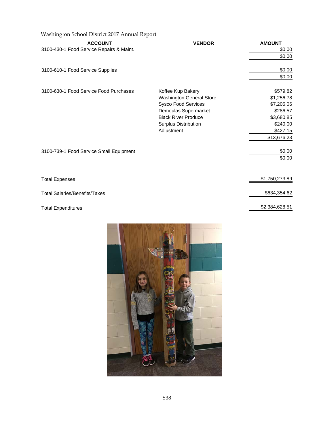| Washington School District 2017 Annual Report              |                                                                                                                                                                         |                                                                                                       |
|------------------------------------------------------------|-------------------------------------------------------------------------------------------------------------------------------------------------------------------------|-------------------------------------------------------------------------------------------------------|
| <b>ACCOUNT</b><br>3100-430-1 Food Service Repairs & Maint. | <b>VENDOR</b>                                                                                                                                                           | <b>AMOUNT</b><br>\$0.00<br>\$0.00                                                                     |
| 3100-610-1 Food Service Supplies                           |                                                                                                                                                                         | \$0.00<br>\$0.00                                                                                      |
| 3100-630-1 Food Service Food Purchases                     | Koffee Kup Bakery<br><b>Washington General Store</b><br>Sysco Food Services<br>Demoulas Supermarket<br><b>Black River Produce</b><br>Surplus Distribution<br>Adjustment | \$579.82<br>\$1,256.78<br>\$7,205.06<br>\$286.57<br>\$3,680.85<br>\$240.00<br>\$427.15<br>\$13,676.23 |
| 3100-739-1 Food Service Small Equipment                    |                                                                                                                                                                         | \$0.00<br>\$0.00                                                                                      |
| <b>Total Expenses</b>                                      |                                                                                                                                                                         | \$1,750,273.89                                                                                        |
| <b>Total Salaries/Benefits/Taxes</b>                       |                                                                                                                                                                         | \$634,354.62                                                                                          |
| <b>Total Expenditures</b>                                  |                                                                                                                                                                         | \$2,384,628.51                                                                                        |

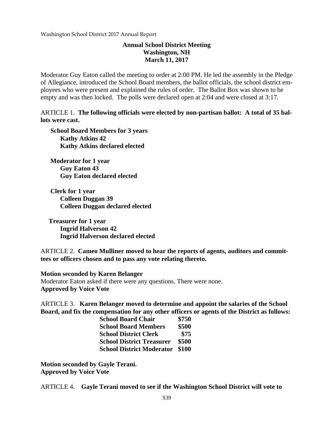# **Annual School District Meeting Washington, NH March 11, 2017**

Moderator Guy Eaton called the meeting to order at 2:00 PM. He led the assembly in the Pledge of Allegiance, introduced the School Board members, the ballot officials, the school district employees who were present and explained the rules of order. The Ballot Box was shown to be empty and was then locked. The polls were declared open at 2:04 and were closed at 3:17.

ARTICLE 1. **The following officials were elected by non-partisan ballot: A total of 35 ballots were cast.** 

 **School Board Members for 3 years Kathy Atkins 42 Kathy Atkins declared elected** 

 **Moderator for 1 year Guy Eaton 43 Guy Eaton declared elected** 

 **Clerk for 1 year Colleen Duggan 39 Colleen Duggan declared elected** 

 **Treasurer for 1 year Ingrid Halverson 42 Ingrid Halverson declared elected** 

ARTICLE 2. **Cameo Mulliner moved to hear the reports of agents, auditors and committees or officers chosen and to pass any vote relating thereto.** 

**Motion seconded by Karen Belanger**

Moderator Eaton asked if there were any questions. There were none. **Approved by Voice Vote** 

ARTICLE 3. **Karen Belanger moved to determine and appoint the salaries of the School Board, and fix the compensation for any other officers or agents of the District as follows:** 

| <b>School Board Chair</b>        | \$750 |
|----------------------------------|-------|
| <b>School Board Members</b>      | \$500 |
| <b>School District Clerk</b>     | \$75  |
| <b>School District Treasurer</b> | \$500 |
| <b>School District Moderator</b> | \$100 |

**Motion seconded by Gayle Terani. Approved by Voice Vote** 

ARTICLE 4. **Gayle Terani moved to see if the Washington School District will vote to**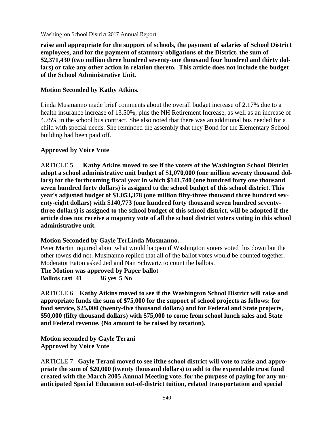**raise and appropriate for the support of schools, the payment of salaries of School District employees, and for the payment of statutory obligations of the District, the sum of \$2,371,430 (two million three hundred seventy-one thousand four hundred and thirty dollars) or take any other action in relation thereto. This article does not include the budget of the School Administrative Unit.** 

# **Motion Seconded by Kathy Atkins.**

Linda Musmanno made brief comments about the overall budget increase of 2.17% due to a health insurance increase of 13.50%, plus the NH Retirement Increase, as well as an increase of 4.75% in the school bus contract. She also noted that there was an additional bus needed for a child with special needs. She reminded the assembly that they Bond for the Elementary School building had been paid off.

## **Approved by Voice Vote**

ARTICLE 5. **Kathy Atkins moved to see if the voters of the Washington School District adopt a school administrative unit budget of \$1,070,000 (one million seventy thousand dollars) for the forthcoming fiscal year in which \$141,740 (one hundred forty one thousand seven hundred forty dollars) is assigned to the school budget of this school district. This year's adjusted budget of \$1,053,378 (one million fifty-three thousand three hundred seventy-eight dollars) with \$140,773 (one hundred forty thousand seven hundred seventythree dollars) is assigned to the school budget of this school district, will be adopted if the article does not receive a majority vote of all the school district voters voting in this school administrative unit.** 

#### **Motion Seconded by Gayle TerLinda Musmanno.**

Peter Martin inquired about what would happen if Washington voters voted this down but the other towns did not. Musmanno replied that all of the ballot votes would be counted together. Moderator Eaton asked Jed and Nan Schwartz to count the ballots.

**The Motion was approved by Paper ballot** 

**Ballots cast 41 36 yes 5 No** 

ARTICLE 6. **Kathy Atkins moved to see if the Washington School District will raise and appropriate funds the sum of \$75,000 for the support of school projects as follows: for food service, \$25,000 (twenty-five thousand dollars) and for Federal and State projects, \$50,000 (fifty thousand dollars) with \$75,000 to come from school lunch sales and State and Federal revenue. (No amount to be raised by taxation).** 

**Motion seconded by Gayle Terani Approved by Voice Vote** 

ARTICLE 7. **Gayle Terani moved to see ifthe school district will vote to raise and appropriate the sum of \$20,000 (twenty thousand dollars) to add to the expendable trust fund created with the March 2005 Annual Meeting vote, for the purpose of paying for any unanticipated Special Education out-of-district tuition, related transportation and special**